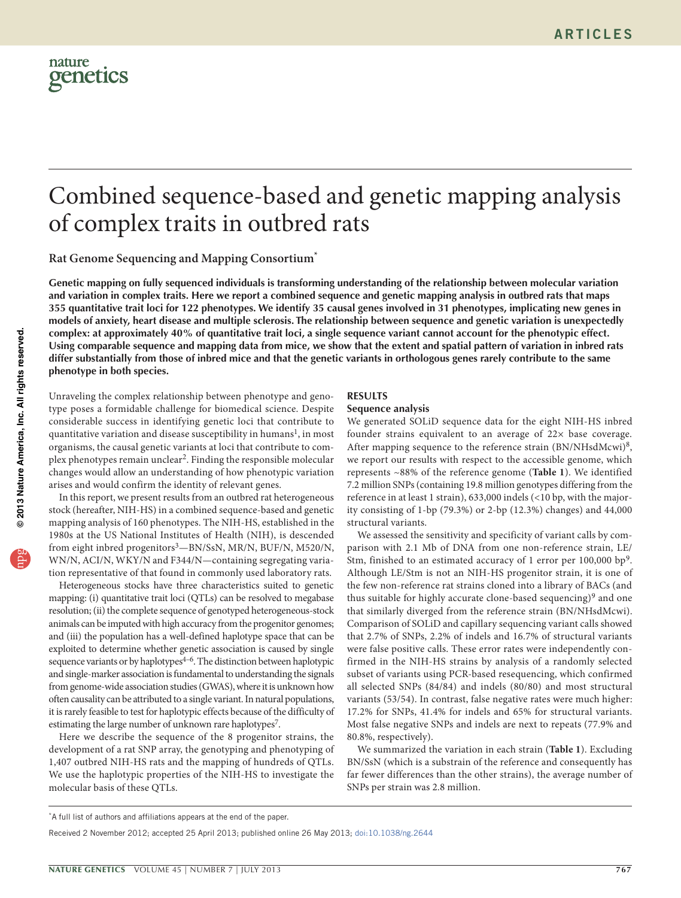# Combined sequence-based and genetic mapping analysis of complex traits in outbred rats

**Rat Genome Sequencing and Mapping Consortium\***

Genetic mapping on fully sequenced individuals is transforming understanding of the relationship between molecular variation and variation in complex traits. Here we report a combined sequence and genetic mapping analysis in outbred rats that maps 355 quantitative trait loci for 122 phenotypes. We identify 35 causal genes involved in 31 phenotypes, implicating new genes in models of anxiety, heart disease and multiple sclerosis. The relationship between sequence and genetic variation is unexpectedly complex: at approximately 40% of quantitative trait loci, a single sequence variant cannot account for the phenotypic effect. Using comparable sequence and mapping data from mice, we show that the extent and spatial pattern of variation in inbred rats differ substantially from those of inbred mice and that the genetic variants in orthologous genes rarely contribute to the same **phenotype in both species.**

Unraveling the complex relationship between phenotype and genotype poses a formidable challenge for biomedical science. Despite considerable success in identifying genetic loci that contribute to quantitative variation and disease susceptibility in humans<sup>1</sup>, in most organisms, the causal genetic variants at loci that contribute to complex phenotypes remain unclear[2.](#page-7-1) Finding the responsible molecular changes would allow an understanding of how phenotypic variation arises and would confirm the identity of relevant genes.

In this report, we present results from an outbred rat heterogeneous stock (hereafter, NIH-HS) in a combined sequence-based and genetic mapping analysis of 160 phenotypes. The NIH-HS, established in the 1980s at the US National Institutes of Health (NIH), is descended from eight inbred progenitors<sup>[3](#page-7-2)</sup>-BN/SsN, MR/N, BUF/N, M520/N, WN/N, ACI/N, WKY/N and F344/N—containing segregating variation representative of that found in commonly used laboratory rats.

Heterogeneous stocks have three characteristics suited to genetic mapping: (i) quantitative trait loci (QTLs) can be resolved to megabase resolution; (ii) the complete sequence of genotyped heterogeneous-stock animals can be imputed with high accuracy from the progenitor genomes; and (iii) the population has a well-defined haplotype space that can be exploited to determine whether genetic association is caused by single sequence variants or by haplotypes<sup>4-6</sup>. The distinction between haplotypic and single-marker association is fundamental to understanding the signals from genome-wide association studies (GWAS), where it is unknown how often causality can be attributed to a single variant. In natural populations, it is rarely feasible to test for haplotypic effects because of the difficulty of estimating the large number of unknown rare haplotypes<sup>7</sup>.

Here we describe the sequence of the 8 progenitor strains, the development of a rat SNP array, the genotyping and phenotyping of 1,407 outbred NIH-HS rats and the mapping of hundreds of QTLs. We use the haplotypic properties of the NIH-HS to investigate the molecular basis of these QTLs.

## **RESULTS**

## **Sequence analysis**

We generated SOLiD sequence data for the eight NIH-HS inbred founder strains equivalent to an average of 22× base coverage. After mapping sequence to the reference strain  $(BN/NHsdMcwi)^8$  $(BN/NHsdMcwi)^8$ , we report our results with respect to the accessible genome, which represents ~88% of the reference genome (**[Table 1](#page-1-0)**). We identified 7.2 million SNPs (containing 19.8 million genotypes differing from the reference in at least 1 strain), 633,000 indels (<10 bp, with the majority consisting of 1-bp (79.3%) or 2-bp (12.3%) changes) and 44,000 structural variants.

We assessed the sensitivity and specificity of variant calls by comparison with 2.1 Mb of DNA from one non-reference strain, LE/ Stm, finished to an estimated accuracy of 1 error per 100,000 bp<sup>[9](#page-8-4)</sup>. Although LE/Stm is not an NIH-HS progenitor strain, it is one of the few non-reference rat strains cloned into a library of BACs (and thus suitable for highly accurate clone-based sequencing)<sup>[9](#page-8-4)</sup> and one that similarly diverged from the reference strain (BN/NHsdMcwi). Comparison of SOLiD and capillary sequencing variant calls showed that 2.7% of SNPs, 2.2% of indels and 16.7% of structural variants were false positive calls. These error rates were independently confirmed in the NIH-HS strains by analysis of a randomly selected subset of variants using PCR-based resequencing, which confirmed all selected SNPs (84/84) and indels (80/80) and most structural variants (53/54). In contrast, false negative rates were much higher: 17.2% for SNPs, 41.4% for indels and 65% for structural variants. Most false negative SNPs and indels are next to repeats (77.9% and 80.8%, respectively).

We summarized the variation in each strain (**[Table 1](#page-1-0)**). Excluding BN/SsN (which is a substrain of the reference and consequently has far fewer differences than the other strains), the average number of SNPs per strain was 2.8 million.

<sup>\*</sup>A full list of authors and affiliations appears at the end of the paper.

Received 2 November 2012; accepted 25 April 2013; published online 26 May 2013; [doi:10.1038/ng.2644](http://www.nature.com/doifinder/10.1038/ng.2644)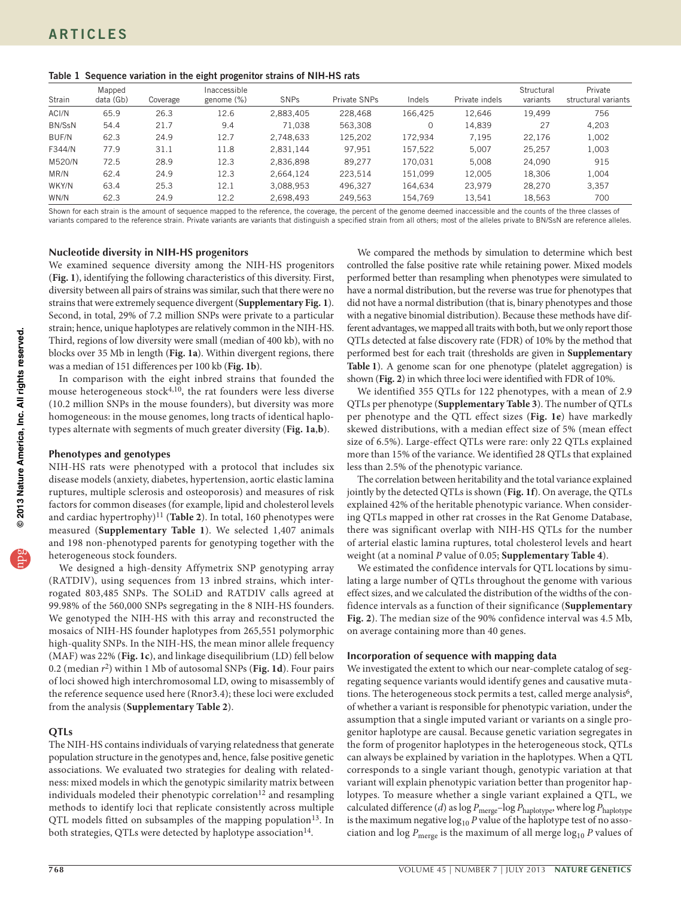<span id="page-1-0"></span>

|  |  |  | Table 1 Sequence variation in the eight progenitor strains of NIH-HS rats |
|--|--|--|---------------------------------------------------------------------------|
|  |  |  |                                                                           |

| Strain       | Mapped<br>data (Gb) | Coverage | Inaccessible<br>genome (%) | <b>SNPs</b> | Private SNPs | Indels  | Private indels | Structural<br>variants | Private<br>structural variants |
|--------------|---------------------|----------|----------------------------|-------------|--------------|---------|----------------|------------------------|--------------------------------|
| ACI/N        | 65.9                | 26.3     | 12.6                       | 2,883,405   | 228,468      | 166.425 | 12.646         | 19.499                 | 756                            |
| BN/SsN       | 54.4                | 21.7     | 9.4                        | 71,038      | 563.308      |         | 14,839         | 27                     | 4,203                          |
| <b>BUF/N</b> | 62.3                | 24.9     | 12.7                       | 2.748.633   | 125.202      | 172.934 | 7.195          | 22.176                 | 1,002                          |
| F344/N       | 77.9                | 31.1     | 11.8                       | 2,831,144   | 97.951       | 157.522 | 5.007          | 25.257                 | 1,003                          |
| M520/N       | 72.5                | 28.9     | 12.3                       | 2,836,898   | 89.277       | 170.031 | 5.008          | 24.090                 | 915                            |
| MR/N         | 62.4                | 24.9     | 12.3                       | 2,664,124   | 223.514      | 151.099 | 12,005         | 18.306                 | 1,004                          |
| WKY/N        | 63.4                | 25.3     | 12.1                       | 3,088,953   | 496.327      | 164.634 | 23.979         | 28.270                 | 3.357                          |
| WN/N         | 62.3                | 24.9     | 12.2                       | 2,698,493   | 249.563      | 154.769 | 13.541         | 18.563                 | 700                            |

Shown for each strain is the amount of sequence mapped to the reference, the coverage, the percent of the genome deemed inaccessible and the counts of the three classes of variants compared to the reference strain. Private variants are variants that distinguish a specified strain from all others; most of the alleles private to BN/SsN are reference alleles.

## **Nucleotide diversity in NIH-HS progenitors**

We examined sequence diversity among the NIH-HS progenitors (**[Fig. 1](#page-2-0)**), identifying the following characteristics of this diversity. First, diversity between all pairs of strains was similar, such that there were no strains that were extremely sequence divergent (**Supplementary Fig. 1**). Second, in total, 29% of 7.2 million SNPs were private to a particular strain; hence, unique haplotypes are relatively common in the NIH-HS. Third, regions of low diversity were small (median of 400 kb), with no blocks over 35 Mb in length (**[Fig. 1a](#page-2-0)**). Within divergent regions, there was a median of 151 differences per 100 kb (**[Fig. 1b](#page-2-0)**).

In comparison with the eight inbred strains that founded the mouse heterogeneous stock $4,10$  $4,10$ , the rat founders were less diverse (10.2 million SNPs in the mouse founders), but diversity was more homogeneous: in the mouse genomes, long tracts of identical haplotypes alternate with segments of much greater diversity (**[Fig. 1a](#page-2-0)**,**b**).

## **Phenotypes and genotypes**

NIH-HS rats were phenotyped with a protocol that includes six disease models (anxiety, diabetes, hypertension, aortic elastic lamina ruptures, multiple sclerosis and osteoporosis) and measures of risk factors for common diseases (for example, lipid and cholesterol levels and cardiac hypertrophy)[11](#page-8-6) (**[Table 2](#page-2-1)**). In total, 160 phenotypes were measured (**Supplementary Table 1**). We selected 1,407 animals and 198 non-phenotyped parents for genotyping together with the heterogeneous stock founders.

We designed a high-density Affymetrix SNP genotyping array (RATDIV), using sequences from 13 inbred strains, which interrogated 803,485 SNPs. The SOLiD and RATDIV calls agreed at 99.98% of the 560,000 SNPs segregating in the 8 NIH-HS founders. We genotyped the NIH-HS with this array and reconstructed the mosaics of NIH-HS founder haplotypes from 265,551 polymorphic high-quality SNPs. In the NIH-HS, the mean minor allele frequency (MAF) was 22% (**[Fig. 1c](#page-2-0)**), and linkage disequilibrium (LD) fell below 0.2 (median *r*2) within 1 Mb of autosomal SNPs (**[Fig. 1d](#page-2-0)**). Four pairs of loci showed high interchromosomal LD, owing to misassembly of the reference sequence used here (Rnor3.4); these loci were excluded from the analysis (**Supplementary Table 2**).

## **QTLs**

The NIH-HS contains individuals of varying relatedness that generate population structure in the genotypes and, hence, false positive genetic associations. We evaluated two strategies for dealing with relatedness: mixed models in which the genotypic similarity matrix between individuals modeled their phenotypic correlation<sup>12</sup> and resampling methods to identify loci that replicate consistently across multiple QTL models fitted on subsamples of the mapping population<sup>13</sup>. In both strategies, QTLs were detected by haplotype association<sup>[14](#page-8-9)</sup>.

We compared the methods by simulation to determine which best controlled the false positive rate while retaining power. Mixed models performed better than resampling when phenotypes were simulated to have a normal distribution, but the reverse was true for phenotypes that did not have a normal distribution (that is, binary phenotypes and those with a negative binomial distribution). Because these methods have different advantages, we mapped all traits with both, but we only report those QTLs detected at false discovery rate (FDR) of 10% by the method that performed best for each trait (thresholds are given in **Supplementary Table 1**). A genome scan for one phenotype (platelet aggregation) is shown (**[Fig. 2](#page-3-0)**) in which three loci were identified with FDR of 10%.

We identified 355 QTLs for 122 phenotypes, with a mean of 2.9 QTLs per phenotype (**Supplementary Table 3**). The number of QTLs per phenotype and the QTL effect sizes (**[Fig. 1e](#page-2-0)**) have markedly skewed distributions, with a median effect size of 5% (mean effect size of 6.5%). Large-effect QTLs were rare: only 22 QTLs explained more than 15% of the variance. We identified 28 QTLs that explained less than 2.5% of the phenotypic variance.

The correlation between heritability and the total variance explained jointly by the detected QTLs is shown (**[Fig. 1f](#page-2-0)**). On average, the QTLs explained 42% of the heritable phenotypic variance. When considering QTLs mapped in other rat crosses in the Rat Genome Database, there was significant overlap with NIH-HS QTLs for the number of arterial elastic lamina ruptures, total cholesterol levels and heart weight (at a nominal *P* value of 0.05; **Supplementary Table 4**).

We estimated the confidence intervals for QTL locations by simulating a large number of QTLs throughout the genome with various effect sizes, and we calculated the distribution of the widths of the confidence intervals as a function of their significance (**Supplementary Fig. 2**). The median size of the 90% confidence interval was 4.5 Mb, on average containing more than 40 genes.

## **Incorporation of sequence with mapping data**

We investigated the extent to which our near-complete catalog of segregating sequence variants would identify genes and causative mutations. The heterogeneous stock permits a test, called merge analysis<sup>6</sup>, of whether a variant is responsible for phenotypic variation, under the assumption that a single imputed variant or variants on a single progenitor haplotype are causal. Because genetic variation segregates in the form of progenitor haplotypes in the heterogeneous stock, QTLs can always be explained by variation in the haplotypes. When a QTL corresponds to a single variant though, genotypic variation at that variant will explain phenotypic variation better than progenitor haplotypes. To measure whether a single variant explained a QTL, we calculated difference (*d*) as log *P*merge–log *P*haplotype, where log *P*haplotype is the maximum negative  $\log_{10} P$  value of the haplotype test of no association and log  $P_{\text{merge}}$  is the maximum of all merge  $\log_{10} P$  values of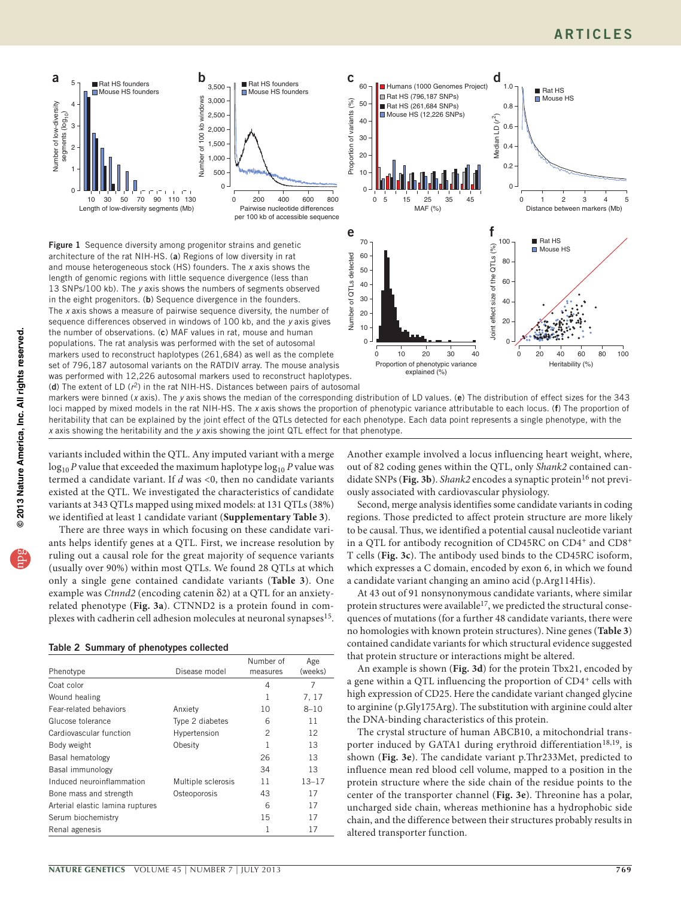

<span id="page-2-0"></span>Figure 1 Sequence diversity among progenitor strains and genetic architecture of the rat NIH-HS. (a) Regions of low diversity in rat and mouse heterogeneous stock (HS) founders. The *x* axis shows the length of genomic regions with little sequence divergence (less than 13 SNPs/100 kb). The *y* axis shows the numbers of segments observed in the eight progenitors. (b) Sequence divergence in the founders. The *x* axis shows a measure of pairwise sequence diversity, the number of sequence differences observed in windows of 100 kb, and the *y* axis gives the number of observations. (c) MAF values in rat, mouse and human populations. The rat analysis was performed with the set of autosomal markers used to reconstruct haplotypes (261,684) as well as the complete set of 796,187 autosomal variants on the RATDIV array. The mouse analysis was performed with 12,226 autosomal markers used to reconstruct haplotypes. (d) The extent of LD (*r*2) in the rat NIH-HS. Distances between pairs of autosomal



markers were binned (*x* axis). The *y* axis shows the median of the corresponding distribution of LD values. (e) The distribution of effect sizes for the 343 loci mapped by mixed models in the rat NIH-HS. The *x* axis shows the proportion of phenotypic variance attributable to each locus. (f) The proportion of heritability that can be explained by the joint effect of the QTLs detected for each phenotype. Each data point represents a single phenotype, with the *x* axis showing the heritability and the *y* axis showing the joint QTL effect for that phenotype.

<span id="page-2-1"></span>

| Table 2 Summary of phenotypes collected |  |  |  |
|-----------------------------------------|--|--|--|
|-----------------------------------------|--|--|--|

| Number of low-diversity<br>segments (log <sub>10</sub> )<br>3<br>2<br>1<br>30<br>50<br>10<br>70<br>90<br>Length of low-diversity segments (Mb)                                                                                                                                                                                                                                                                                                                                                                                                                                                                                                                                                                                                                                                                                                                                                                                                                                                                                                                                                                                                                                                                                                                                                                                                                                                                                                                                                                                                                                                                                                                                                                                                                                                                                                                                                                                                                                                                                                                             | kb windo<br>2,500<br>2,000<br>Number of 100<br>1,500<br>1,000<br>500<br>0<br>0<br>130<br>110 | 200<br>400<br>Pairwise nucleotide differences<br>per 100 kb of accessible sequend | 600<br>80      |
|----------------------------------------------------------------------------------------------------------------------------------------------------------------------------------------------------------------------------------------------------------------------------------------------------------------------------------------------------------------------------------------------------------------------------------------------------------------------------------------------------------------------------------------------------------------------------------------------------------------------------------------------------------------------------------------------------------------------------------------------------------------------------------------------------------------------------------------------------------------------------------------------------------------------------------------------------------------------------------------------------------------------------------------------------------------------------------------------------------------------------------------------------------------------------------------------------------------------------------------------------------------------------------------------------------------------------------------------------------------------------------------------------------------------------------------------------------------------------------------------------------------------------------------------------------------------------------------------------------------------------------------------------------------------------------------------------------------------------------------------------------------------------------------------------------------------------------------------------------------------------------------------------------------------------------------------------------------------------------------------------------------------------------------------------------------------------|----------------------------------------------------------------------------------------------|-----------------------------------------------------------------------------------|----------------|
| Figure 1 Sequence diversity among progenitor strains and genetic<br>architecture of the rat NIH-HS. (a) Regions of low diversity in rat<br>and mouse heterogeneous stock (HS) founders. The x axis shows the<br>length of genomic regions with little sequence divergence (less than<br>13 SNPs/100 kb). The y axis shows the numbers of segments observed<br>in the eight progenitors. (b) Sequence divergence in the founders.<br>The x axis shows a measure of pairwise sequence diversity, the number of<br>sequence differences observed in windows of 100 kb, and the y axis gives<br>the number of observations. (c) MAF values in rat, mouse and human<br>populations. The rat analysis was performed with the set of autosomal<br>markers used to reconstruct haplotypes (261,684) as well as the complete<br>set of 796,187 autosomal variants on the RATDIV array. The mouse analysi<br>was performed with 12,226 autosomal markers used to reconstruct haploty<br>(d) The extent of LD $(r^2)$ in the rat NIH-HS. Distances between pairs of auto<br>markers were binned ( $x$ axis). The $y$ axis shows the median of the correspor<br>loci mapped by mixed models in the rat NIH-HS. The x axis shows the prop<br>heritability that can be explained by the joint effect of the QTLs detected fo<br>x axis showing the heritability and the y axis showing the joint QTL effect for<br>variants included within the QTL. Any imputed variant with a merge<br>$\log_{10} P$ value that exceeded the maximum haplotype $\log_{10} P$ value was<br>termed a candidate variant. If $d$ was <0, then no candidate variants<br>existed at the QTL. We investigated the characteristics of candidate<br>variants at 343 QTLs mapped using mixed models: at 131 QTLs (38%)<br>we identified at least 1 candidate variant (Supplementary Table 3).<br>There are three ways in which focusing on these candidate vari-<br>ants helps identify genes at a QTL. First, we increase resolution by<br>ruling out a causal role for the great majority of sequence variants |                                                                                              |                                                                                   |                |
| (usually over 90%) within most QTLs. We found 28 QTLs at which<br>only a single gene contained candidate variants (Table 3). One                                                                                                                                                                                                                                                                                                                                                                                                                                                                                                                                                                                                                                                                                                                                                                                                                                                                                                                                                                                                                                                                                                                                                                                                                                                                                                                                                                                                                                                                                                                                                                                                                                                                                                                                                                                                                                                                                                                                           |                                                                                              |                                                                                   |                |
| example was Ctnnd2 (encoding catenin δ2) at a QTL for an anxiety-                                                                                                                                                                                                                                                                                                                                                                                                                                                                                                                                                                                                                                                                                                                                                                                                                                                                                                                                                                                                                                                                                                                                                                                                                                                                                                                                                                                                                                                                                                                                                                                                                                                                                                                                                                                                                                                                                                                                                                                                          |                                                                                              |                                                                                   |                |
| related phenotype (Fig. 3a). CTNND2 is a protein found in com-<br>plexes with cadherin cell adhesion molecules at neuronal synapses <sup>15</sup> .                                                                                                                                                                                                                                                                                                                                                                                                                                                                                                                                                                                                                                                                                                                                                                                                                                                                                                                                                                                                                                                                                                                                                                                                                                                                                                                                                                                                                                                                                                                                                                                                                                                                                                                                                                                                                                                                                                                        |                                                                                              |                                                                                   |                |
| Table 2 Summary of phenotypes collected                                                                                                                                                                                                                                                                                                                                                                                                                                                                                                                                                                                                                                                                                                                                                                                                                                                                                                                                                                                                                                                                                                                                                                                                                                                                                                                                                                                                                                                                                                                                                                                                                                                                                                                                                                                                                                                                                                                                                                                                                                    |                                                                                              |                                                                                   |                |
| Phenotype                                                                                                                                                                                                                                                                                                                                                                                                                                                                                                                                                                                                                                                                                                                                                                                                                                                                                                                                                                                                                                                                                                                                                                                                                                                                                                                                                                                                                                                                                                                                                                                                                                                                                                                                                                                                                                                                                                                                                                                                                                                                  | Disease model                                                                                | Number of<br>measures                                                             | Age<br>(weeks) |
| Coat color                                                                                                                                                                                                                                                                                                                                                                                                                                                                                                                                                                                                                                                                                                                                                                                                                                                                                                                                                                                                                                                                                                                                                                                                                                                                                                                                                                                                                                                                                                                                                                                                                                                                                                                                                                                                                                                                                                                                                                                                                                                                 |                                                                                              | 4                                                                                 | 7              |
| Wound healing                                                                                                                                                                                                                                                                                                                                                                                                                                                                                                                                                                                                                                                                                                                                                                                                                                                                                                                                                                                                                                                                                                                                                                                                                                                                                                                                                                                                                                                                                                                                                                                                                                                                                                                                                                                                                                                                                                                                                                                                                                                              |                                                                                              | 1                                                                                 | 7, 17          |
| Fear-related behaviors                                                                                                                                                                                                                                                                                                                                                                                                                                                                                                                                                                                                                                                                                                                                                                                                                                                                                                                                                                                                                                                                                                                                                                                                                                                                                                                                                                                                                                                                                                                                                                                                                                                                                                                                                                                                                                                                                                                                                                                                                                                     | Anxiety                                                                                      | 10                                                                                | $8 - 10$       |
| Glucose tolerance                                                                                                                                                                                                                                                                                                                                                                                                                                                                                                                                                                                                                                                                                                                                                                                                                                                                                                                                                                                                                                                                                                                                                                                                                                                                                                                                                                                                                                                                                                                                                                                                                                                                                                                                                                                                                                                                                                                                                                                                                                                          | Type 2 diabetes                                                                              | 6                                                                                 | 11             |
| Cardiovascular function                                                                                                                                                                                                                                                                                                                                                                                                                                                                                                                                                                                                                                                                                                                                                                                                                                                                                                                                                                                                                                                                                                                                                                                                                                                                                                                                                                                                                                                                                                                                                                                                                                                                                                                                                                                                                                                                                                                                                                                                                                                    | Hypertension                                                                                 | 2                                                                                 | 12             |
| Body weight                                                                                                                                                                                                                                                                                                                                                                                                                                                                                                                                                                                                                                                                                                                                                                                                                                                                                                                                                                                                                                                                                                                                                                                                                                                                                                                                                                                                                                                                                                                                                                                                                                                                                                                                                                                                                                                                                                                                                                                                                                                                | Obesity                                                                                      | 1                                                                                 | 13             |
| Basal hematology                                                                                                                                                                                                                                                                                                                                                                                                                                                                                                                                                                                                                                                                                                                                                                                                                                                                                                                                                                                                                                                                                                                                                                                                                                                                                                                                                                                                                                                                                                                                                                                                                                                                                                                                                                                                                                                                                                                                                                                                                                                           |                                                                                              | 26                                                                                | 13             |
| Basal immunology                                                                                                                                                                                                                                                                                                                                                                                                                                                                                                                                                                                                                                                                                                                                                                                                                                                                                                                                                                                                                                                                                                                                                                                                                                                                                                                                                                                                                                                                                                                                                                                                                                                                                                                                                                                                                                                                                                                                                                                                                                                           |                                                                                              | 34                                                                                | 13             |
| Induced neuroinflammation                                                                                                                                                                                                                                                                                                                                                                                                                                                                                                                                                                                                                                                                                                                                                                                                                                                                                                                                                                                                                                                                                                                                                                                                                                                                                                                                                                                                                                                                                                                                                                                                                                                                                                                                                                                                                                                                                                                                                                                                                                                  | Multiple sclerosis                                                                           | 11                                                                                | $13 - 17$      |
| Bone mass and strength                                                                                                                                                                                                                                                                                                                                                                                                                                                                                                                                                                                                                                                                                                                                                                                                                                                                                                                                                                                                                                                                                                                                                                                                                                                                                                                                                                                                                                                                                                                                                                                                                                                                                                                                                                                                                                                                                                                                                                                                                                                     | Osteoporosis                                                                                 | 43                                                                                | 17             |
| Arterial elastic lamina ruptures                                                                                                                                                                                                                                                                                                                                                                                                                                                                                                                                                                                                                                                                                                                                                                                                                                                                                                                                                                                                                                                                                                                                                                                                                                                                                                                                                                                                                                                                                                                                                                                                                                                                                                                                                                                                                                                                                                                                                                                                                                           |                                                                                              | 6                                                                                 | 17             |
| Serum biochemistry                                                                                                                                                                                                                                                                                                                                                                                                                                                                                                                                                                                                                                                                                                                                                                                                                                                                                                                                                                                                                                                                                                                                                                                                                                                                                                                                                                                                                                                                                                                                                                                                                                                                                                                                                                                                                                                                                                                                                                                                                                                         |                                                                                              |                                                                                   |                |
| Renal agenesis                                                                                                                                                                                                                                                                                                                                                                                                                                                                                                                                                                                                                                                                                                                                                                                                                                                                                                                                                                                                                                                                                                                                                                                                                                                                                                                                                                                                                                                                                                                                                                                                                                                                                                                                                                                                                                                                                                                                                                                                                                                             |                                                                                              | 15<br>1                                                                           | 17<br>17       |

Another example involved a locus influencing heart weight, where, out of 82 coding genes within the QTL, only *Shank2* contained can-didate SNPs ([Fig. 3b](#page-5-0)). *Shank2* encodes a synaptic protein<sup>16</sup> not previously associated with cardiovascular physiology.

Second, merge analysis identifies some candidate variants in coding regions. Those predicted to affect protein structure are more likely to be causal. Thus, we identified a potential causal nucleotide variant in a QTL for antibody recognition of CD45RC on CD4<sup>+</sup> and CD8<sup>+</sup> T cells (**[Fig. 3c](#page-5-0)**). The antibody used binds to the CD45RC isoform, which expresses a C domain, encoded by exon 6, in which we found a candidate variant changing an amino acid (p.Arg114His).

At 43 out of 91 nonsynonymous candidate variants, where similar protein structures were available $^{17}$ , we predicted the structural consequences of mutations (for a further 48 candidate variants, there were no homologies with known protein structures). Nine genes (**[Table 3](#page-4-0)**) contained candidate variants for which structural evidence suggested that protein structure or interactions might be altered.

An example is shown (**[Fig. 3d](#page-5-0)**) for the protein Tbx21, encoded by a gene within a QTL influencing the proportion of CD4<sup>+</sup> cells with high expression of CD25. Here the candidate variant changed glycine to arginine (p.Gly175Arg). The substitution with arginine could alter the DNA-binding characteristics of this protein.

The crystal structure of human ABCB10, a mitochondrial trans-porter induced by GATA1 during erythroid differentiation<sup>[18,](#page-8-13)[19](#page-8-14)</sup>, is shown (**[Fig. 3e](#page-5-0)**). The candidate variant p.Thr233Met, predicted to influence mean red blood cell volume, mapped to a position in the protein structure where the side chain of the residue points to the center of the transporter channel (**[Fig. 3e](#page-5-0)**). Threonine has a polar, uncharged side chain, whereas methionine has a hydrophobic side chain, and the difference between their structures probably results in altered transporter function.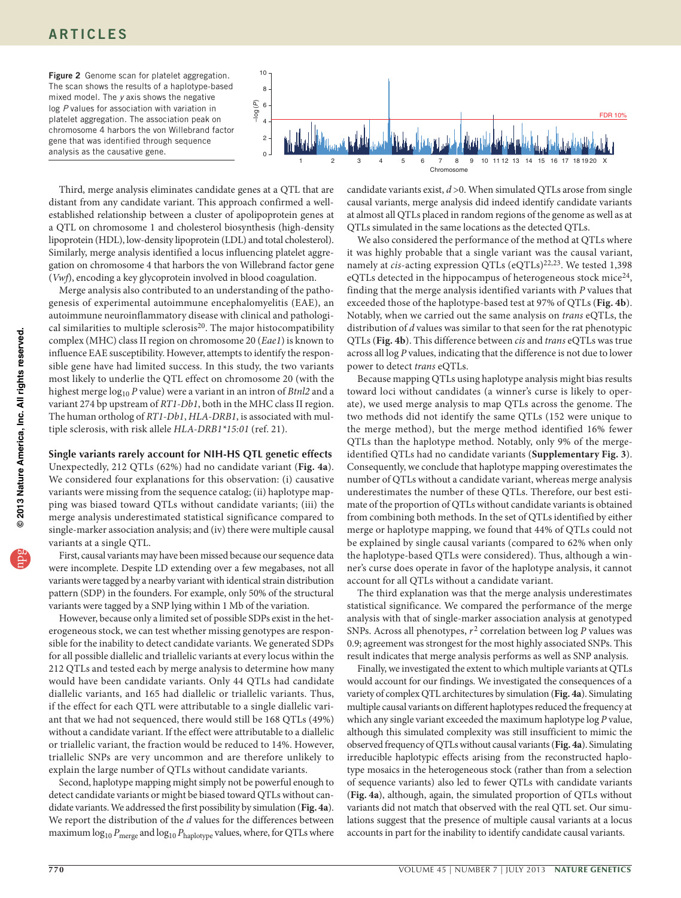## **ARTICLES**

<span id="page-3-0"></span>Figure 2 Genome scan for platelet aggregation. The scan shows the results of a haplotype-based mixed model. The *y* axis shows the negative log *P* values for association with variation in platelet aggregation. The association peak on chromosome 4 harbors the von Willebrand factor gene that was identified through sequence analysis as the causative gene.



Third, merge analysis eliminates candidate genes at a QTL that are distant from any candidate variant. This approach confirmed a wellestablished relationship between a cluster of apolipoprotein genes at a QTL on chromosome 1 and cholesterol biosynthesis (high-density lipoprotein (HDL), low-density lipoprotein (LDL) and total cholesterol). Similarly, merge analysis identified a locus influencing platelet aggregation on chromosome 4 that harbors the von Willebrand factor gene (*Vwf*), encoding a key glycoprotein involved in blood coagulation.

Merge analysis also contributed to an understanding of the pathogenesis of experimental autoimmune encephalomyelitis (EAE), an autoimmune neuroinflammatory disease with clinical and pathological similarities to multiple sclerosis<sup>20</sup>. The major histocompatibility complex (MHC) class II region on chromosome 20 (*Eae1*) is known to influence EAE susceptibility. However, attempts to identify the responsible gene have had limited success. In this study, the two variants most likely to underlie the QTL effect on chromosome 20 (with the highest merge  $log_{10} P$  value) were a variant in an intron of *Btnl2* and a variant 274 bp upstream of *RT1-Db1*, both in the MHC class II region. The human ortholog of *RT1-Db1*, *HLA-DRB1*, is associated with multiple sclerosis, with risk allele *HLA-DRB1\*15:01* (ref. [21](#page-8-16)).

## **Single variants rarely account for NIH-HS QTL genetic effects**

Unexpectedly, 212 QTLs (62%) had no candidate variant (**[Fig. 4a](#page-6-0)**). We considered four explanations for this observation: (i) causative variants were missing from the sequence catalog; (ii) haplotype mapping was biased toward QTLs without candidate variants; (iii) the merge analysis underestimated statistical significance compared to single-marker association analysis; and (iv) there were multiple causal variants at a single QTL.

First, causal variants may have been missed because our sequence data were incomplete. Despite LD extending over a few megabases, not all variants were tagged by a nearby variant with identical strain distribution pattern (SDP) in the founders. For example, only 50% of the structural variants were tagged by a SNP lying within 1 Mb of the variation.

However, because only a limited set of possible SDPs exist in the heterogeneous stock, we can test whether missing genotypes are responsible for the inability to detect candidate variants. We generated SDPs for all possible diallelic and triallelic variants at every locus within the 212 QTLs and tested each by merge analysis to determine how many would have been candidate variants. Only 44 QTLs had candidate diallelic variants, and 165 had diallelic or triallelic variants. Thus, if the effect for each QTL were attributable to a single diallelic variant that we had not sequenced, there would still be 168 QTLs (49%) without a candidate variant. If the effect were attributable to a diallelic or triallelic variant, the fraction would be reduced to 14%. However, triallelic SNPs are very uncommon and are therefore unlikely to explain the large number of QTLs without candidate variants.

Second, haplotype mapping might simply not be powerful enough to detect candidate variants or might be biased toward QTLs without candidate variants. We addressed the first possibility by simulation (**[Fig. 4a](#page-6-0)**). We report the distribution of the *d* values for the differences between maximum  $\log_{10} P_{\text{merge}}$  and  $\log_{10} P_{\text{haplotype}}$  values, where, for QTLs where

candidate variants exist, *d* >0. When simulated QTLs arose from single causal variants, merge analysis did indeed identify candidate variants at almost all QTLs placed in random regions of the genome as well as at QTLs simulated in the same locations as the detected QTLs.

We also considered the performance of the method at QTLs where it was highly probable that a single variant was the causal variant, namely at *cis*-acting expression QTLs (eQTLs)<sup>[22,](#page-8-17)[23](#page-8-18)</sup>. We tested 1,398 eQTLs detected in the hippocampus of heterogeneous stock mice<sup>[24](#page-8-19)</sup>, finding that the merge analysis identified variants with *P* values that exceeded those of the haplotype-based test at 97% of QTLs (**[Fig. 4b](#page-6-0)**). Notably, when we carried out the same analysis on *trans* eQTLs, the distribution of *d* values was similar to that seen for the rat phenotypic QTLs (**[Fig. 4b](#page-6-0)**). This difference between *cis* and *trans* eQTLs was true across all log *P* values, indicating that the difference is not due to lower power to detect *trans* eQTLs.

Because mapping QTLs using haplotype analysis might bias results toward loci without candidates (a winner's curse is likely to operate), we used merge analysis to map QTLs across the genome. The two methods did not identify the same QTLs (152 were unique to the merge method), but the merge method identified 16% fewer QTLs than the haplotype method. Notably, only 9% of the mergeidentified QTLs had no candidate variants (**Supplementary Fig. 3**). Consequently, we conclude that haplotype mapping overestimates the number of QTLs without a candidate variant, whereas merge analysis underestimates the number of these QTLs. Therefore, our best estimate of the proportion of QTLs without candidate variants is obtained from combining both methods. In the set of QTLs identified by either merge or haplotype mapping, we found that 44% of QTLs could not be explained by single causal variants (compared to 62% when only the haplotype-based QTLs were considered). Thus, although a winner's curse does operate in favor of the haplotype analysis, it cannot account for all QTLs without a candidate variant.

The third explanation was that the merge analysis underestimates statistical significance. We compared the performance of the merge analysis with that of single-marker association analysis at genotyped SNPs. Across all phenotypes, *r*2 correlation between log *P* values was 0.9; agreement was strongest for the most highly associated SNPs. This result indicates that merge analysis performs as well as SNP analysis.

Finally, we investigated the extent to which multiple variants at QTLs would account for our findings. We investigated the consequences of a variety of complex QTL architectures by simulation (**[Fig. 4a](#page-6-0)**). Simulating multiple causal variants on different haplotypes reduced the frequency at which any single variant exceeded the maximum haplotype log *P* value, although this simulated complexity was still insufficient to mimic the observed frequency of QTLs without causal variants (**[Fig. 4a](#page-6-0)**). Simulating irreducible haplotypic effects arising from the reconstructed haplotype mosaics in the heterogeneous stock (rather than from a selection of sequence variants) also led to fewer QTLs with candidate variants (**[Fig.](#page-6-0) 4a**), although, again, the simulated proportion of QTLs without variants did not match that observed with the real QTL set. Our simulations suggest that the presence of multiple causal variants at a locus accounts in part for the inability to identify candidate causal variants.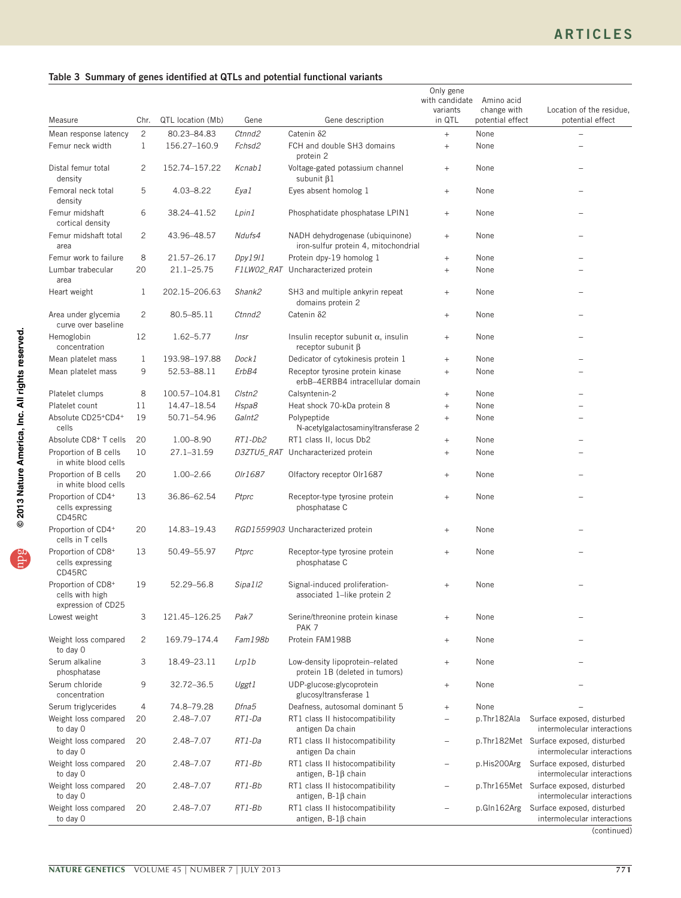## <span id="page-4-0"></span>Table 3 Summary of genes identified at QTLs and potential functional variants

|                                                             |                                |                             |                              |                                                                         | Only gene<br>with candidate<br>variants | Amino acid<br>change with | Location of the residue,                                              |
|-------------------------------------------------------------|--------------------------------|-----------------------------|------------------------------|-------------------------------------------------------------------------|-----------------------------------------|---------------------------|-----------------------------------------------------------------------|
| Measure                                                     | Chr.                           | QTL location (Mb)           | Gene                         | Gene description                                                        | in QTL                                  | potential effect          | potential effect                                                      |
| Mean response latency<br>Femur neck width                   | $\overline{c}$<br>$\mathbf{1}$ | 80.23-84.83<br>156.27-160.9 | Ctnnd2<br>Fchsd <sub>2</sub> | Catenin 82<br>FCH and double SH3 domains<br>protein 2                   | $^{+}$<br>$^{+}$                        | None<br>None              |                                                                       |
| Distal femur total<br>density                               | $\overline{c}$                 | 152.74-157.22               | Kcnab1                       | Voltage-gated potassium channel<br>subunit $\beta$ 1                    | $^{+}$                                  | None                      |                                                                       |
| Femoral neck total<br>density                               | 5                              | 4.03-8.22                   | Eya1                         | Eyes absent homolog 1                                                   | $+$                                     | None                      |                                                                       |
| Femur midshaft<br>cortical density                          | 6                              | 38.24-41.52                 | Lpin1                        | Phosphatidate phosphatase LPIN1                                         | $^{+}$                                  | None                      |                                                                       |
| Femur midshaft total<br>area                                | $\overline{c}$                 | 43.96-48.57                 | Ndufs4                       | NADH dehydrogenase (ubiquinone)<br>iron-sulfur protein 4, mitochondrial | $^{+}$                                  | None                      |                                                                       |
| Femur work to failure                                       | 8                              | 21.57-26.17                 | Dpy1911                      | Protein dpy-19 homolog 1                                                | $+$                                     | None                      |                                                                       |
| Lumbar trabecular<br>area                                   | 20                             | $21.1 - 25.75$              | F1LW02_RAT                   | Uncharacterized protein                                                 | $+$                                     | None                      |                                                                       |
| Heart weight                                                | 1                              | 202.15-206.63               | Shank2                       | SH3 and multiple ankyrin repeat<br>domains protein 2                    | $+$                                     | None                      |                                                                       |
| Area under glycemia<br>curve over baseline                  | $\overline{c}$                 | 80.5-85.11                  | Ctnnd2                       | Catenin 82                                                              | $\! + \!\!\!\!$                         | None                      |                                                                       |
| Hemoglobin<br>concentration                                 | 12                             | 1.62-5.77                   | Insr                         | Insulin receptor subunit $\alpha$ , insulin<br>receptor subunit $\beta$ | $^{+}$                                  | None                      |                                                                       |
| Mean platelet mass                                          | $\mathbf{1}$                   | 193.98-197.88               | Dock1                        | Dedicator of cytokinesis protein 1                                      | $+$                                     | None                      |                                                                       |
| Mean platelet mass                                          | 9                              | 52.53-88.11                 | ErbB4                        | Receptor tyrosine protein kinase<br>erbB-4ERBB4 intracellular domain    | $+$                                     | None                      |                                                                       |
| Platelet clumps                                             | 8                              | 100.57-104.81               | Clstn2                       | Calsyntenin-2                                                           | $+$                                     | None                      |                                                                       |
| Platelet count                                              | 11                             | 14.47-18.54                 | Hspa8                        | Heat shock 70-kDa protein 8                                             | $^{+}$                                  | None                      |                                                                       |
| Absolute CD25+CD4+<br>cells                                 | 19                             | 50.71-54.96                 | Galnt <sub>2</sub>           | Polypeptide<br>N-acetylgalactosaminyltransferase 2                      | $^{+}$                                  | None                      |                                                                       |
| Absolute CD8 <sup>+</sup> T cells                           | 20                             | 1.00-8.90                   | RT1-Db2                      | RT1 class II, locus Db2                                                 | $+$                                     | None                      |                                                                       |
| Proportion of B cells<br>in white blood cells               | 10                             | 27.1-31.59                  |                              | D3ZTU5_RAT Uncharacterized protein                                      | $+$                                     | None                      |                                                                       |
| Proportion of B cells<br>in white blood cells               | 20                             | 1.00-2.66                   | Olr1687                      | Olfactory receptor Olr1687                                              | $^{+}$                                  | None                      |                                                                       |
| Proportion of CD4+<br>cells expressing<br>CD45RC            | 13                             | 36.86-62.54                 | Ptprc                        | Receptor-type tyrosine protein<br>phosphatase C                         | $^{+}$                                  | None                      |                                                                       |
| Proportion of CD4+<br>cells in T cells                      | 20                             | 14.83-19.43                 |                              | RGD1559903 Uncharacterized protein                                      | $^{+}$                                  | None                      |                                                                       |
| Proportion of CD8+<br>cells expressing<br>CD45RC            | 13                             | 50.49-55.97                 | Ptprc                        | Receptor-type tyrosine protein<br>phosphatase C                         | $^{+}$                                  | None                      |                                                                       |
| Proportion of CD8+<br>cells with high<br>expression of CD25 | 19                             | 52.29-56.8                  | Sipa1 <sub>12</sub>          | Signal-induced proliferation-<br>associated 1-like protein 2            | $+$                                     | None                      |                                                                       |
| Lowest weight                                               | 3                              | 121.45-126.25               | Pak7                         | Serine/threonine protein kinase<br>PAK <sub>7</sub>                     | $^{+}$                                  | None                      |                                                                       |
| Weight loss compared<br>to day 0                            | 2                              | 169.79-174.4                | Fam198b                      | Protein FAM198B                                                         | $^{+}$                                  | None                      |                                                                       |
| Serum alkaline<br>phosphatase                               | 3                              | 18.49-23.11                 | Lrp1b                        | Low-density lipoprotein-related<br>protein 1B (deleted in tumors)       | $^{+}$                                  | None                      |                                                                       |
| Serum chloride<br>concentration                             | 9                              | 32.72-36.5                  | Uggt1                        | UDP-glucose:glycoprotein<br>glucosyltransferase 1                       | $^{+}$                                  | None                      |                                                                       |
| Serum triglycerides                                         | $\overline{4}$                 | 74.8-79.28                  | Dfna5                        | Deafness, autosomal dominant 5                                          | $^{+}$                                  | None                      |                                                                       |
| Weight loss compared<br>to day 0                            | 20                             | 2.48-7.07                   | RT1-Da                       | RT1 class II histocompatibility<br>antigen Da chain                     | $\overline{\phantom{0}}$                | p.Thr182Ala               | Surface exposed, disturbed<br>intermolecular interactions             |
| Weight loss compared<br>to day 0                            | 20                             | 2.48-7.07                   | RT1-Da                       | RT1 class II histocompatibility<br>antigen Da chain                     | -                                       |                           | p.Thr182Met Surface exposed, disturbed<br>intermolecular interactions |
| Weight loss compared<br>to day 0                            | 20                             | 2.48-7.07                   | $RT1-Bb$                     | RT1 class II histocompatibility<br>antigen, $B-1\beta$ chain            | $\overline{\phantom{0}}$                | p.His200Arg               | Surface exposed, disturbed<br>intermolecular interactions             |
| Weight loss compared<br>to day 0                            | 20                             | 2.48-7.07                   | RT1-Bb                       | RT1 class II histocompatibility<br>antigen, $B-1\beta$ chain            |                                         |                           | p.Thr165Met Surface exposed, disturbed<br>intermolecular interactions |
| Weight loss compared<br>to day 0                            | 20                             | 2.48-7.07                   | RT1-Bb                       | RT1 class II histocompatibility<br>antigen, $B-1\beta$ chain            |                                         |                           | p.Gln162Arg Surface exposed, disturbed<br>intermolecular interactions |
|                                                             |                                |                             |                              |                                                                         |                                         |                           | (continued)                                                           |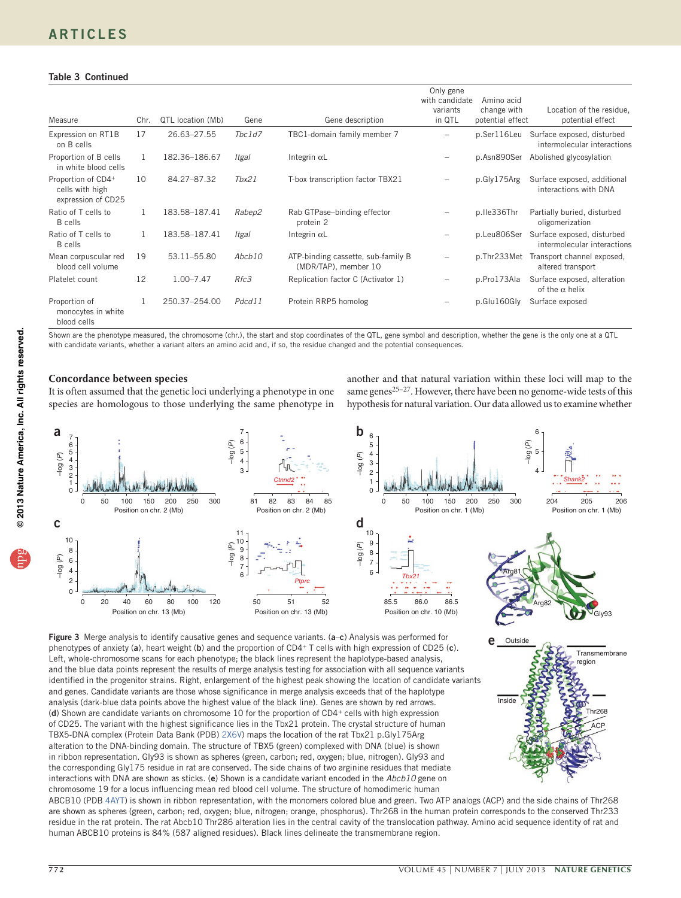## **ARTICLES**

## Table 3 Continued

| Measure                                                     | Chr.         | QTL location (Mb) | Gene   | Gene description                                           | Only gene<br>with candidate<br>variants<br>in QTL | Amino acid<br>change with<br>potential effect | Location of the residue,<br>potential effect              |
|-------------------------------------------------------------|--------------|-------------------|--------|------------------------------------------------------------|---------------------------------------------------|-----------------------------------------------|-----------------------------------------------------------|
| Expression on RT1B<br>on B cells                            | 17           | 26.63-27.55       | Tbc1d7 | TBC1-domain family member 7                                | $\overline{\phantom{0}}$                          | p.Ser116Leu                                   | Surface exposed, disturbed<br>intermolecular interactions |
| Proportion of B cells<br>in white blood cells               | $\mathbf{1}$ | 182.36-186.67     | Itgal  | Integrin $\alpha$ L                                        |                                                   | p.Asn890Ser                                   | Abolished glycosylation                                   |
| Proportion of CD4+<br>cells with high<br>expression of CD25 | 10           | 84.27-87.32       | Tbx21  | T-box transcription factor TBX21                           |                                                   | p.Gly175Arg                                   | Surface exposed, additional<br>interactions with DNA      |
| Ratio of T cells to<br><b>B</b> cells                       | 1            | 183.58-187.41     | Rabep2 | Rab GTPase-binding effector<br>protein 2                   |                                                   | p.lle336Thr                                   | Partially buried, disturbed<br>oligomerization            |
| Ratio of T cells to<br><b>B</b> cells                       | 1            | 183.58-187.41     | Itgal  | Integrin $\alpha$ L                                        |                                                   | p.Leu806Ser                                   | Surface exposed, disturbed<br>intermolecular interactions |
| Mean corpuscular red<br>blood cell volume                   | 19           | 53.11-55.80       | Abcb10 | ATP-binding cassette, sub-family B<br>(MDR/TAP), member 10 | -                                                 | p.Thr233Met                                   | Transport channel exposed,<br>altered transport           |
| Platelet count                                              | 12           | $1.00 - 7.47$     | Rfc3   | Replication factor C (Activator 1)                         | -                                                 | p.Pro173Ala                                   | Surface exposed, alteration<br>of the $\alpha$ helix      |
| Proportion of<br>monocytes in white<br>blood cells          |              | 250.37-254.00     | Pdcd11 | Protein RRP5 homolog                                       |                                                   | p.Glu160Gly                                   | Surface exposed                                           |

Shown are the phenotype measured, the chromosome (chr.), the start and stop coordinates of the QTL, gene symbol and description, whether the gene is the only one at a QTL with candidate variants, whether a variant alters an amino acid and, if so, the residue changed and the potential consequences.

## **Concordance between species**

It is often assumed that the genetic loci underlying a phenotype in one species are homologous to those underlying the same phenotype in

another and that natural variation within these loci will map to the same genes $^{25-27}$  $^{25-27}$  $^{25-27}$ . However, there have been no genome-wide tests of this hypothesis for natural variation. Our data allowed us to examine whether



<span id="page-5-0"></span>Figure 3 Merge analysis to identify causative genes and sequence variants. (a-c) Analysis was performed for phenotypes of anxiety (a), heart weight (b) and the proportion of CD4+ T cells with high expression of CD25 (c). Left, whole-chromosome scans for each phenotype; the black lines represent the haplotype-based analysis, and the blue data points represent the results of merge analysis testing for association with all sequence variants identified in the progenitor strains. Right, enlargement of the highest peak showing the location of candidate variants and genes. Candidate variants are those whose significance in merge analysis exceeds that of the haplotype analysis (dark-blue data points above the highest value of the black line). Genes are shown by red arrows. (d) Shown are candidate variants on chromosome 10 for the proportion of CD4+ cells with high expression of CD25. The variant with the highest significance lies in the Tbx21 protein. The crystal structure of human TBX5-DNA complex (Protein Data Bank (PDB) [2X6V\)](http://www.rcsb.org/pdb/explore/explore.do?structureId=2X6V) maps the location of the rat Tbx21 p.Gly175Arg alteration to the DNA-binding domain. The structure of TBX5 (green) complexed with DNA (blue) is shown in ribbon representation. Gly93 is shown as spheres (green, carbon; red, oxygen; blue, nitrogen). Gly93 and the corresponding Gly175 residue in rat are conserved. The side chains of two arginine residues that mediate interactions with DNA are shown as sticks. (e) Shown is a candidate variant encoded in the *Abcb10* gene on chromosome 19 for a locus influencing mean red blood cell volume. The structure of homodimeric human

Outside **Inside Transmembrane** region Thr268 ACP

ABCB10 (PDB [4AYT\)](http://www.rcsb.org/pdb/explore/explore.do?structureId=4AYT) is shown in ribbon representation, with the monomers colored blue and green. Two ATP analogs (ACP) and the side chains of Thr268 are shown as spheres (green, carbon; red, oxygen; blue, nitrogen; orange, phosphorus). Thr268 in the human protein corresponds to the conserved Thr233 residue in the rat protein. The rat Abcb10 Thr286 alteration lies in the central cavity of the translocation pathway. Amino acid sequence identity of rat and human ABCB10 proteins is 84% (587 aligned residues). Black lines delineate the transmembrane region.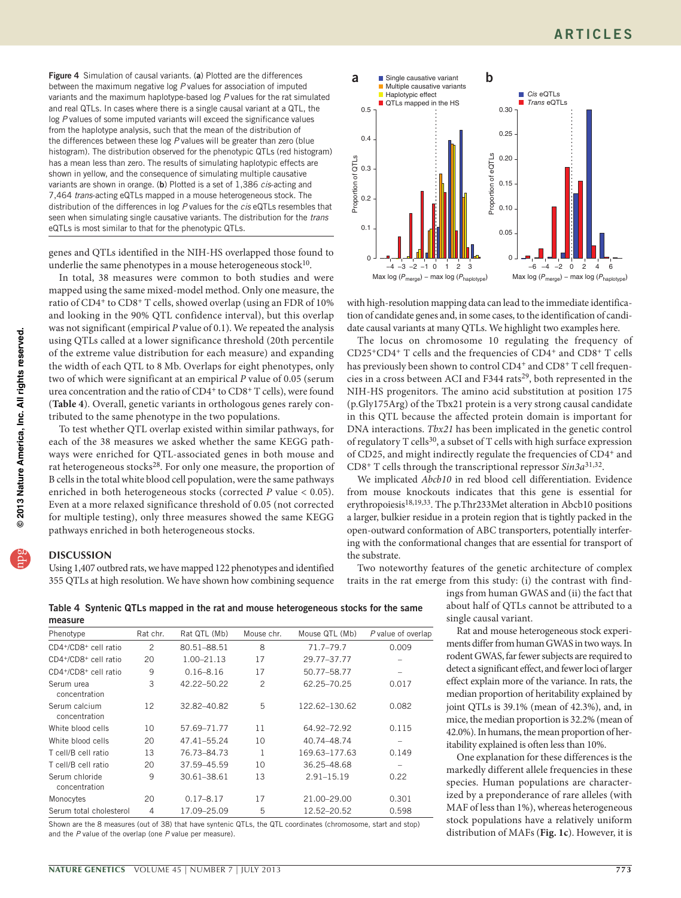<span id="page-6-0"></span>Figure 4 Simulation of causal variants. (a) Plotted are the differences between the maximum negative log *P* values for association of imputed variants and the maximum haplotype-based log *P* values for the rat simulated and real QTLs. In cases where there is a single causal variant at a QTL, the log *P* values of some imputed variants will exceed the significance values from the haplotype analysis, such that the mean of the distribution of the differences between these log *P* values will be greater than zero (blue histogram). The distribution observed for the phenotypic QTLs (red histogram) has a mean less than zero. The results of simulating haplotypic effects are shown in yellow, and the consequence of simulating multiple causative variants are shown in orange. (b) Plotted is a set of 1,386 *cis*-acting and 7,464 *trans*-acting eQTLs mapped in a mouse heterogeneous stock. The distribution of the differences in log *P* values for the *cis* eQTLs resembles that seen when simulating single causative variants. The distribution for the *trans* eQTLs is most similar to that for the phenotypic QTLs.

genes and QTLs identified in the NIH-HS overlapped those found to underlie the same phenotypes in a mouse heterogeneous stock $10$ .

In total, 38 measures were common to both studies and were mapped using the same mixed-model method. Only one measure, the ratio of CD4+ to CD8+ T cells, showed overlap (using an FDR of 10% and looking in the 90% QTL confidence interval), but this overlap was not significant (empirical *P* value of 0.1). We repeated the analysis using QTLs called at a lower significance threshold (20th percentile of the extreme value distribution for each measure) and expanding the width of each QTL to 8 Mb. Overlaps for eight phenotypes, only two of which were significant at an empirical *P* value of 0.05 (serum urea concentration and the ratio of CD4<sup>+</sup> to CD8<sup>+</sup> T cells), were found (**[Table 4](#page-6-1)**). Overall, genetic variants in orthologous genes rarely contributed to the same phenotype in the two populations.

To test whether QTL overlap existed within similar pathways, for each of the 38 measures we asked whether the same KEGG pathways were enriched for QTL-associated genes in both mouse and rat heterogeneous stocks<sup>28</sup>. For only one measure, the proportion of B cells in the total white blood cell population, were the same pathways enriched in both heterogeneous stocks (corrected *P* value < 0.05). Even at a more relaxed significance threshold of 0.05 (not corrected for multiple testing), only three measures showed the same KEGG pathways enriched in both heterogeneous stocks.

## **DISCUSSION**

Using 1,407 outbred rats, we have mapped 122 phenotypes and identified 355 QTLs at high resolution. We have shown how combining sequence



with high-resolution mapping data can lead to the immediate identification of candidate genes and, in some cases, to the identification of candidate causal variants at many QTLs. We highlight two examples here.

The locus on chromosome 10 regulating the frequency of CD25+CD4+ T cells and the frequencies of CD4+ and CD8+ T cells has previously been shown to control CD4<sup>+</sup> and CD8<sup>+</sup> T cell frequencies in a cross between ACI and F344 rats<sup>29</sup>, both represented in the NIH-HS progenitors. The amino acid substitution at position 175 (p.Gly175Arg) of the Tbx21 protein is a very strong causal candidate in this QTL because the affected protein domain is important for DNA interactions. *Tbx21* has been implicated in the genetic control of regulatory T cells<sup>30</sup>, a subset of T cells with high surface expression of CD25, and might indirectly regulate the frequencies of CD4+ and CD8+ T cells through the transcriptional repressor *Sin3a*[31,](#page-8-25)[32](#page-8-26).

We implicated *Abcb10* in red blood cell differentiation. Evidence from mouse knockouts indicates that this gene is essential for erythropoiesis<sup>18,[19,](#page-8-14)33</sup>. The p.Thr233Met alteration in Abcb10 positions a larger, bulkier residue in a protein region that is tightly packed in the open-outward conformation of ABC transporters, potentially interfering with the conformational changes that are essential for transport of the substrate.

Two noteworthy features of the genetic architecture of complex traits in the rat emerge from this study: (i) the contrast with find-

ings from human GWAS and (ii) the fact that about half of QTLs cannot be attributed to a single causal variant.

Rat and mouse heterogeneous stock experiments differ from human GWAS in two ways. In rodent GWAS, far fewer subjects are required to detect a significant effect, and fewer loci of larger effect explain more of the variance. In rats, the median proportion of heritability explained by joint QTLs is 39.1% (mean of 42.3%), and, in mice, the median proportion is 32.2% (mean of 42.0%). In humans, the mean proportion of heritability explained is often less than 10%.

One explanation for these differences is the markedly different allele frequencies in these species. Human populations are characterized by a preponderance of rare alleles (with MAF of less than 1%), whereas heterogeneous stock populations have a relatively uniform distribution of MAFs (**[Fig. 1c](#page-2-0)**). However, it is

<span id="page-6-1"></span>Table 4 Syntenic QTLs mapped in the rat and mouse heterogeneous stocks for the same measure

| measure                         |          |                |                |                |                    |
|---------------------------------|----------|----------------|----------------|----------------|--------------------|
| Phenotype                       | Rat chr. | Rat QTL (Mb)   | Mouse chr.     | Mouse QTL (Mb) | P value of overlap |
| CD4+/CD8+ cell ratio            | 2        | 80.51-88.51    | 8              | 71.7-79.7      | 0.009              |
| CD4+/CD8+ cell ratio            | 20       | $1.00 - 21.13$ | 17             | 29.77-37.77    |                    |
| CD4+/CD8+ cell ratio            | 9        | $0.16 - 8.16$  | 17             | 50.77-58.77    |                    |
| Serum urea<br>concentration     | 3        | 42.22-50.22    | $\overline{c}$ | 62.25-70.25    | 0.017              |
| Serum calcium<br>concentration  | 12       | 32.82-40.82    | 5              | 122.62-130.62  | 0.082              |
| White blood cells               | 10       | 57.69-71.77    | 11             | 64.92-72.92    | 0.115              |
| White blood cells               | 20       | 47.41-55.24    | 10             | 40.74-48.74    |                    |
| T cell/B cell ratio             | 13       | 76.73-84.73    | 1              | 169.63-177.63  | 0.149              |
| T cell/B cell ratio             | 20       | 37.59-45.59    | 10             | 36.25-48.68    | $\qquad \qquad$    |
| Serum chloride<br>concentration | 9        | 30.61-38.61    | 13             | 2.91-15.19     | 0.22               |
| Monocytes                       | 20       | $0.17 - 8.17$  | 17             | 21.00-29.00    | 0.301              |
| Serum total cholesterol         | 4        | 17.09-25.09    | 5              | 12.52-20.52    | 0.598              |
|                                 |          |                |                |                |                    |

Shown are the 8 measures (out of 38) that have syntenic QTLs, the QTL coordinates (chromosome, start and stop) and the *P* value of the overlap (one *P* value per measure).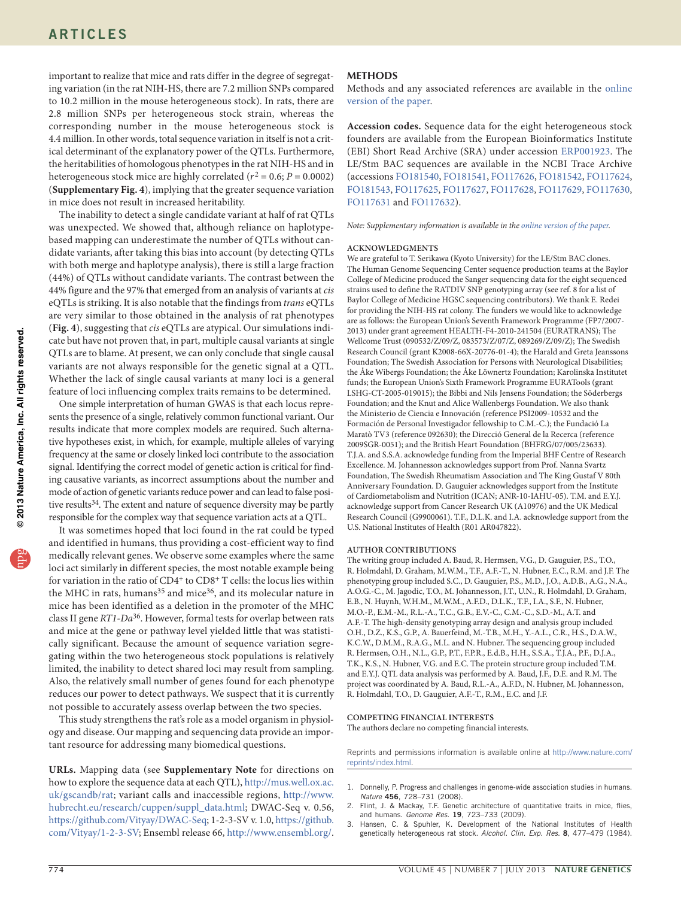important to realize that mice and rats differ in the degree of segregating variation (in the rat NIH-HS, there are 7.2 million SNPs compared to 10.2 million in the mouse heterogeneous stock). In rats, there are 2.8 million SNPs per heterogeneous stock strain, whereas the corresponding number in the mouse heterogeneous stock is 4.4 million. In other words, total sequence variation in itself is not a critical determinant of the explanatory power of the QTLs. Furthermore, the heritabilities of homologous phenotypes in the rat NIH-HS and in heterogeneous stock mice are highly correlated ( $r^2 = 0.6$ ;  $P = 0.0002$ ) (**Supplementary Fig. 4**), implying that the greater sequence variation in mice does not result in increased heritability.

The inability to detect a single candidate variant at half of rat QTLs was unexpected. We showed that, although reliance on haplotypebased mapping can underestimate the number of QTLs without candidate variants, after taking this bias into account (by detecting QTLs with both merge and haplotype analysis), there is still a large fraction (44%) of QTLs without candidate variants. The contrast between the 44% figure and the 97% that emerged from an analysis of variants at *cis* eQTLs is striking. It is also notable that the findings from *trans* eQTLs are very similar to those obtained in the analysis of rat phenotypes (**[Fig. 4](#page-6-0)**), suggesting that *cis* eQTLs are atypical. Our simulations indicate but have not proven that, in part, multiple causal variants at single QTLs are to blame. At present, we can only conclude that single causal variants are not always responsible for the genetic signal at a QTL. Whether the lack of single causal variants at many loci is a general feature of loci influencing complex traits remains to be determined.

One simple interpretation of human GWAS is that each locus represents the presence of a single, relatively common functional variant. Our results indicate that more complex models are required. Such alternative hypotheses exist, in which, for example, multiple alleles of varying frequency at the same or closely linked loci contribute to the association signal. Identifying the correct model of genetic action is critical for finding causative variants, as incorrect assumptions about the number and mode of action of genetic variants reduce power and can lead to false posi-tive results<sup>[34](#page-8-28)</sup>. The extent and nature of sequence diversity may be partly responsible for the complex way that sequence variation acts at a QTL.

It was sometimes hoped that loci found in the rat could be typed and identified in humans, thus providing a cost-efficient way to find medically relevant genes. We observe some examples where the same loci act similarly in different species, the most notable example being for variation in the ratio of CD4<sup>+</sup> to CD8<sup>+</sup> T cells: the locus lies within the MHC in rats, humans<sup>35</sup> and mice<sup>36</sup>, and its molecular nature in mice has been identified as a deletion in the promoter of the MHC class II gene *RT1-Da*[36.](#page-8-30) However, formal tests for overlap between rats and mice at the gene or pathway level yielded little that was statistically significant. Because the amount of sequence variation segregating within the two heterogeneous stock populations is relatively limited, the inability to detect shared loci may result from sampling. Also, the relatively small number of genes found for each phenotype reduces our power to detect pathways. We suspect that it is currently not possible to accurately assess overlap between the two species.

This study strengthens the rat's role as a model organism in physiology and disease. Our mapping and sequencing data provide an important resource for addressing many biomedical questions.

**URLs.** Mapping data (see **Supplementary Note** for directions on how to explore the sequence data at each QTL), [http://mus.well.ox.ac.](http://mus.well.ox.ac.uk/gscandb/rat) [uk/gscandb/rat;](http://mus.well.ox.ac.uk/gscandb/rat) variant calls and inaccessible regions, [http://www.](http://www.hubrecht.eu/research/cuppen/suppl_data.html) [hubrecht.eu/research/cuppen/suppl\\_data.html;](http://www.hubrecht.eu/research/cuppen/suppl_data.html) DWAC-Seq v. 0.56, <https://github.com/Vityay/DWAC-Seq>; 1-2-3-SV v. 1.0, [https://github.](https://github.com/Vityay/1-2-3-SV) [com/Vityay/1-2-3-SV](https://github.com/Vityay/1-2-3-SV); Ensembl release 66,<http://www.ensembl.org/>.

## **Methods**

Methods and any associated references are available in the [online](http://www.nature.com/doifinder/10.1038/ng.2644) [version of the paper](http://www.nature.com/doifinder/10.1038/ng.2644).

**Accession codes.** Sequence data for the eight heterogeneous stock founders are available from the European Bioinformatics Institute (EBI) Short Read Archive (SRA) under accession [ERP001923](http://www.ebi.ac.uk/ena/data/view/ERP001923&display=html). The LE/Stm BAC sequences are available in the NCBI Trace Archive (accessions [FO181540,](http://www.ncbi.nlm.nih.gov/nuccore/FO181540) [FO181541,](http://www.ncbi.nlm.nih.gov/nuccore/FO181541) [FO117626](http://www.ncbi.nlm.nih.gov/nuccore/FO117626), [FO181542,](http://www.ncbi.nlm.nih.gov/nuccore/FO181542) [FO117624](http://www.ncbi.nlm.nih.gov/nuccore/FO117624), [FO181543,](http://www.ncbi.nlm.nih.gov/nuccore/FO181543) [FO117625](http://www.ncbi.nlm.nih.gov/nuccore/FO117625), [FO117627](http://www.ncbi.nlm.nih.gov/nuccore/FO117627), [FO117628,](http://www.ncbi.nlm.nih.gov/nuccore/FO117628) [FO117629,](http://www.ncbi.nlm.nih.gov/nuccore/FO117629) [FO117630](http://www.ncbi.nlm.nih.gov/nuccore/FO117630), [FO117631](http://www.ncbi.nlm.nih.gov/nuccore/FO117631) and [FO117632\)](http://www.ncbi.nlm.nih.gov/nuccore/FO117632).

*Note: Supplementary information is available in the [online version of the paper.](http://www.nature.com/doifinder/10.1038/ng.2644)*

## **Acknowledgments**

We are grateful to T. Serikawa (Kyoto University) for the LE/Stm BAC clones. The Human Genome Sequencing Center sequence production teams at the Baylor College of Medicine produced the Sanger sequencing data for the eight sequenced strains used to define the RATDIV SNP genotyping array (see ref. [8](#page-8-3) for a list of Baylor College of Medicine HGSC sequencing contributors). We thank E. Redei for providing the NIH-HS rat colony. The funders we would like to acknowledge are as follows: the European Union's Seventh Framework Programme (FP7/2007- 2013) under grant agreement HEALTH-F4-2010-241504 (EURATRANS); The Wellcome Trust (090532/Z/09/Z, 083573/Z/07/Z, 089269/Z/09/Z); The Swedish Research Council (grant K2008-66X-20776-01-4); the Harald and Greta Jeanssons Foundation; The Swedish Association for Persons with Neurological Disabilities; the Åke Wibergs Foundation; the Åke Löwnertz Foundation; Karolinska Institutet funds; the European Union's Sixth Framework Programme EURATools (grant LSHG-CT-2005-019015); the Bibbi and Nils Jensens Foundation; the Söderbergs Foundation; and the Knut and Alice Wallenbergs Foundation. We also thank the Ministerio de Ciencia e Innovación (reference PSI2009-10532 and the Formación de Personal Investigador fellowship to C.M.-C.); the Fundació La Maratò TV3 (reference 092630); the Direcció General de la Recerca (reference 2009SGR-0051); and the British Heart Foundation (BHFRG/07/005/23633). T.J.A. and S.S.A. acknowledge funding from the Imperial BHF Centre of Research Excellence. M. Johannesson acknowledges support from Prof. Nanna Svartz Foundation, The Swedish Rheumatism Association and The King Gustaf V 80th Anniversary Foundation. D. Gauguier acknowledges support from the Institute of Cardiometabolism and Nutrition (ICAN; ANR-10-IAHU-05). T.M. and E.Y.J. acknowledge support from Cancer Research UK (A10976) and the UK Medical Research Council (G9900061). T.F., D.L.K. and I.A. acknowledge support from the U.S. National Institutes of Health (R01 AR047822).

### **AUTHOR CONTRIBUTIONS**

The writing group included A. Baud, R. Hermsen, V.G., D. Gauguier, P.S., T.O., R. Holmdahl, D. Graham, M.W.M., T.F., A.F.-T., N. Hubner, E.C., R.M. and J.F. The phenotyping group included S.C., D. Gauguier, P.S., M.D., J.O., A.D.B., A.G., N.A., A.O.G.-C., M. Jagodic, T.O., M. Johannesson, J.T., U.N., R. Holmdahl, D. Graham, E.B., N. Huynh, W.H.M., M.W.M., A.F.D., D.L.K., T.F., I.A., S.F., N. Hubner, M.O.-P., E.M.-M., R.L.-A., T.C., G.B., E.V.-C., C.M.-C., S.D.-M., A.T. and A.F.-T. The high-density genotyping array design and analysis group included O.H., D.Z., K.S., G.P., A. Bauerfeind, M.-T.B., M.H., Y.-A.L., C.R., H.S., D.A.W., K.C.W., D.M.M., R.A.G., M.L. and N. Hubner. The sequencing group included R. Hermsen, O.H., N.L., G.P., P.T., F.P.R., E.d.B., H.H., S.S.A., T.J.A., P.F., D.J.A., T.K., K.S., N. Hubner, V.G. and E.C. The protein structure group included T.M. and E.Y.J. QTL data analysis was performed by A. Baud, J.F., D.E. and R.M. The project was coordinated by A. Baud, R.L.-A., A.F.D., N. Hubner, M. Johannesson, R. Holmdahl, T.O., D. Gauguier, A.F.-T., R.M., E.C. and J.F.

#### **COMPETING FINANCIAL INTERESTS**

The authors declare no competing financial interests.

Reprints and permissions information is available online at [http://www.nature.com/](http://www.nature.com/reprints/index.html) [reprints/index.html.](http://www.nature.com/reprints/index.html)

- <span id="page-7-0"></span>1. Donnelly, P. Progress and challenges in genome-wide association studies in humans. *Nature* 456, 728–731 (2008).
- <span id="page-7-1"></span>2. Flint, J. & Mackay, T.F. Genetic architecture of quantitative traits in mice, flies, and humans. *Genome Res.* 19, 723–733 (2009).
- <span id="page-7-2"></span>3. Hansen, C. & Spuhler, K. Development of the National Institutes of Health genetically heterogeneous rat stock. *Alcohol. Clin. Exp. Res.* 8, 477–479 (1984).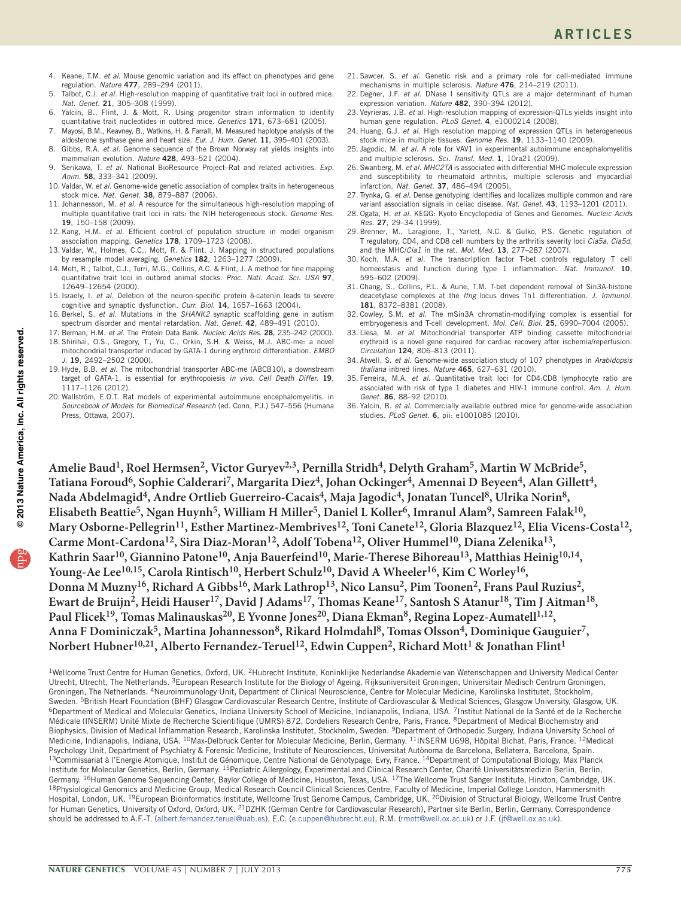- <span id="page-8-0"></span>4. Keane, T.M. *et al.* Mouse genomic variation and its effect on phenotypes and gene regulation. *Nature* 477, 289–294 (2011).
- 5. Talbot, C.J. *et al.* High-resolution mapping of quantitative trait loci in outbred mice. *Nat. Genet.* 21, 305–308 (1999).
- <span id="page-8-1"></span>6. Yalcin, B., Flint, J. & Mott, R. Using progenitor strain information to identify quantitative trait nucleotides in outbred mice. *Genetics* 171, 673–681 (2005).
- <span id="page-8-2"></span>7. Mayosi, B.M., Keavney, B., Watkins, H. & Farrall, M. Measured haplotype analysis of the aldosterone synthase gene and heart size. *Eur. J. Hum. Genet.* 11, 395–401 (2003).
- <span id="page-8-3"></span>Gibbs, R.A. *et al.* Genome sequence of the Brown Norway rat yields insights into mammalian evolution. *Nature* 428, 493–521 (2004).
- <span id="page-8-4"></span>9. Serikawa, T. *et al.* National BioResource Project–Rat and related activities. *Exp. Anim.* 58, 333–341 (2009).
- <span id="page-8-5"></span>10. Valdar, W. *et al.* Genome-wide genetic association of complex traits in heterogeneous stock mice. *Nat. Genet.* 38, 879–887 (2006).
- <span id="page-8-6"></span>11. Johannesson, M. *et al.* A resource for the simultaneous high-resolution mapping of multiple quantitative trait loci in rats: the NIH heterogeneous stock. *Genome Res.* 19, 150–158 (2009).
- <span id="page-8-7"></span>12. Kang, H.M. *et al.* Efficient control of population structure in model organism association mapping. *Genetics* 178, 1709–1723 (2008).
- <span id="page-8-8"></span>13. Valdar, W., Holmes, C.C., Mott, R. & Flint, J. Mapping in structured populations by resample model averaging. *Genetics* 182, 1263–1277 (2009).
- <span id="page-8-9"></span>14. Mott, R., Talbot, C.J., Turri, M.G., Collins, A.C. & Flint, J. A method for fine mapping quantitative trait loci in outbred animal stocks. *Proc. Natl. Acad. Sci. USA* 97, 12649–12654 (2000).
- <span id="page-8-10"></span>15. Israely, I. *et al.* Deletion of the neuron-specific protein δ-catenin leads to severe cognitive and synaptic dysfunction. *Curr. Biol.* 14, 1657–1663 (2004).
- <span id="page-8-11"></span>16. Berkel, S. *et al.* Mutations in the *SHANK2* synaptic scaffolding gene in autism spectrum disorder and mental retardation. *Nat. Genet.* 42, 489–491 (2010).
- <span id="page-8-12"></span>17. Berman, H.M. *et al.* The Protein Data Bank. *Nucleic Acids Res.* 28, 235–242 (2000). 18. Shirihai, O.S., Gregory, T., Yu, C., Orkin, S.H. & Weiss, M.J. ABC-me: a novel
- <span id="page-8-13"></span>mitochondrial transporter induced by GATA-1 during erythroid differentiation. *EMBO J.* 19, 2492–2502 (2000).
- <span id="page-8-14"></span>19. Hyde, B.B. *et al.* The mitochondrial transporter ABC-me (ABCB10), a downstream target of GATA-1, is essential for erythropoiesis *in vivo*. *Cell Death Differ.* 19, 1117–1126 (2012).
- <span id="page-8-15"></span>20. Wallström, E.O.T. Rat models of experimental autoimmune encephalomyelitis. in *Sourcebook of Models for Biomedical Research* (ed. Conn, P.J.) 547–556 (Humana Press, Ottawa, 2007).
- <span id="page-8-16"></span>21. Sawcer, S. *et al.* Genetic risk and a primary role for cell-mediated immune mechanisms in multiple sclerosis. *Nature* 476, 214–219 (2011).
- <span id="page-8-17"></span>22. Degner, J.F. *et al.* DNase I sensitivity QTLs are a major determinant of human expression variation. *Nature* 482, 390–394 (2012).
- <span id="page-8-18"></span>23. Veyrieras, J.B. *et al.* High-resolution mapping of expression-QTLs yields insight into human gene regulation. *PLoS Genet.* 4, e1000214 (2008).
- <span id="page-8-19"></span>24. Huang, G.J. *et al.* High resolution mapping of expression QTLs in heterogeneous stock mice in multiple tissues. *Genome Res.* 19, 1133–1140 (2009).
- <span id="page-8-20"></span>25. Jagodic, M. *et al.* A role for VAV1 in experimental autoimmune encephalomyelitis and multiple sclerosis. *Sci. Transl. Med.* 1, 10ra21 (2009).
- 26. Swanberg, M. *et al. MHC2TA* is associated with differential MHC molecule expression and susceptibility to rheumatoid arthritis, multiple sclerosis and myocardial infarction. *Nat. Genet.* 37, 486–494 (2005).
- <span id="page-8-21"></span>27. Trynka, G. *et al.* Dense genotyping identifies and localizes multiple common and rare variant association signals in celiac disease. *Nat. Genet.* 43, 1193–1201 (2011).
- <span id="page-8-22"></span>28. Ogata, H. *et al.* KEGG: Kyoto Encyclopedia of Genes and Genomes. *Nucleic Acids Res.* 27, 29–34 (1999).
- <span id="page-8-23"></span>29. Brenner, M., Laragione, T., Yarlett, N.C. & Gulko, P.S. Genetic regulation of T regulatory, CD4, and CD8 cell numbers by the arthritis severity loci *Cia5a*, *Cia5d*, and the MHC/*Cia1* in the rat. *Mol. Med.* 13, 277–287 (2007).
- <span id="page-8-24"></span>30. Koch, M.A. *et al.* The transcription factor T-bet controls regulatory T cell homeostasis and function during type 1 inflammation. *Nat. Immunol.* 10, 595–602 (2009).
- <span id="page-8-25"></span>31. Chang, S., Collins, P.L. & Aune, T.M. T-bet dependent removal of Sin3A-histone deacetylase complexes at the *Ifng* locus drives Th1 differentiation. *J. Immunol.* 181, 8372–8381 (2008).
- <span id="page-8-26"></span>32. Cowley, S.M. *et al.* The mSin3A chromatin-modifying complex is essential for embryogenesis and T-cell development. *Mol. Cell. Biol.* 25, 6990–7004 (2005).
- <span id="page-8-27"></span>33. Liesa, M. *et al.* Mitochondrial transporter ATP binding cassette mitochondrial erythroid is a novel gene required for cardiac recovery after ischemia/reperfusion. *Circulation* 124, 806–813 (2011).
- <span id="page-8-28"></span>34. Atwell, S. *et al.* Genome-wide association study of 107 phenotypes in *Arabidopsis thaliana* inbred lines. *Nature* 465, 627–631 (2010).
- <span id="page-8-29"></span>35. Ferreira, M.A. *et al.* Quantitative trait loci for CD4:CD8 lymphocyte ratio are associated with risk of type 1 diabetes and HIV-1 immune control. *Am. J. Hum. Genet.* 86, 88–92 (2010).
- <span id="page-8-30"></span>36. Yalcin, B. *et al.* Commercially available outbred mice for genome-wide association studies. *PLoS Genet.* 6, pii: e1001085 (2010).

**Amelie Baud1, Roel Hermsen2, Victor Guryev2,3, Pernilla Stridh4, Delyth Graham5, Martin W McBride5,**  Tatiana Foroud<sup>6</sup>, Sophie Calderari<sup>7</sup>, Margarita Diez<sup>4</sup>, Johan Ockinger<sup>4</sup>, Amennai D Beyeen<sup>4</sup>, Alan Gillett<sup>4</sup>, Nada Abdelmagid<sup>4</sup>, Andre Ortlieb Guerreiro-Cacais<sup>4</sup>, Maja Jagodic<sup>4</sup>, Jonatan Tuncel<sup>8</sup>, Ulrika Norin<sup>8</sup>, **Elisabeth Beattie5, Ngan Huynh5, William H Miller5, Daniel L Koller6, Imranul Alam9, Samreen Falak10,**  Mary Osborne-Pellegrin<sup>11</sup>, Esther Martinez-Membrives<sup>12</sup>, Toni Canete<sup>12</sup>, Gloria Blazquez<sup>12</sup>, Elia Vicens-Costa<sup>12</sup>, Carme Mont-Cardona<sup>12</sup>, Sira Diaz-Moran<sup>12</sup>, Adolf Tobena<sup>12</sup>, Oliver Hummel<sup>10</sup>, Diana Zelenika<sup>13</sup>, Kathrin Saar<sup>10</sup>, Giannino Patone<sup>10</sup>, Anja Bauerfeind<sup>10</sup>, Marie-Therese Bihoreau<sup>13</sup>, Matthias Heinig<sup>10,14</sup>, Young-Ae Lee<sup>10,15</sup>, Carola Rintisch<sup>10</sup>, Herbert Schulz<sup>10</sup>, David A Wheeler<sup>16</sup>, Kim C Worley<sup>16</sup>, **Donna M Muzny16, Richard A Gibbs16, Mark Lathrop13, Nico Lansu2, Pim Toonen2, Frans Paul Ruzius2,**  Ewart de Bruijn<sup>2</sup>, Heidi Hauser<sup>17</sup>, David J Adams<sup>17</sup>, Thomas Keane<sup>17</sup>, Santosh S Atanur<sup>18</sup>, Tim J Aitman<sup>18</sup>, Paul Flicek<sup>19</sup>, Tomas Malinauskas<sup>20</sup>, E Yvonne Jones<sup>20</sup>, Diana Ekman<sup>8</sup>, Regina Lopez-Aumatell<sup>1,12</sup>, **Anna F Dominiczak5, Martina Johannesson8, Rikard Holmdahl8, Tomas Olsson4, Dominique Gauguier7,**  Norbert Hubner<sup>10,21</sup>, Alberto Fernandez-Teruel<sup>12</sup>, Edwin Cuppen<sup>2</sup>, Richard Mott<sup>1</sup> & Jonathan Flint<sup>1</sup>

<sup>1</sup>Wellcome Trust Centre for Human Genetics, Oxford, UK. 2Hubrecht Institute, Koninklijke Nederlandse Akademie van Wetenschappen and University Medical Center Utrecht, Utrecht, The Netherlands. <sup>3</sup>European Research Institute for the Biology of Ageing, Rijksuniversiteit Groningen, Universitair Medisch Centrum Groningen, Groningen, The Netherlands. 4Neuroimmunology Unit, Department of Clinical Neuroscience, Centre for Molecular Medicine, Karolinska Institutet, Stockholm, Sweden. <sup>5</sup>British Heart Foundation (BHF) Glasgow Cardiovascular Research Centre, Institute of Cardiovascular & Medical Sciences, Glasgow University, Glasgow, UK.<br><sup>6</sup>Department of Medical and Molecular Genetics, Indiana Un Médicale (INSERM) Unité Mixte de Recherche Scientifique (UMRS) 872, Cordeliers Research Centre, Paris, France. 8Department of Medical Biochemistry and Biophysics, Division of Medical Inflammation Research, Karolinska Institutet, Stockholm, Sweden. <sup>9</sup>Department of Orthopedic Surgery, Indiana University School of Medicine, Indianapolis, Indiana, USA. <sup>10</sup>Max-Delbruck Center for Molecular Medicine, Berlin, Germany. <sup>11</sup>INSERM U698, Hôpital Bichat, Paris, France. <sup>12</sup>Medical Psychology Unit, Department of Psychiatry & Forensic Medicine, Institute of Neurosciences, Universitat Autònoma de Barcelona, Bellaterra, Barcelona, Spain. 13Commissariat à l'Energie Atomique, Institut de Génomique, Centre National de Génotypage, Evry, France. <sup>14</sup>Department of Computational Biology, Max Planck Institute for Molecular Genetics, Berlin, Germany. <sup>15</sup>Pediatric Allergology, Experimental and Clinical Research Center, Charité Universitätsmedizin Berlin, Berlin,<br>Germany. <sup>16</sup>Human Genome Sequencing Center, Baylor Colle 18Physiological Genomics and Medicine Group, Medical Research Council Clinical Sciences Centre, Faculty of Medicine, Imperial College London, Hammersmith Hospital, London, UK. <sup>19</sup>European Bioinformatics Institute, Wellcome Trust Genome Campus, Cambridge, UK. <sup>20</sup>Division of Structural Biology, Wellcome Trust Centre for Human Genetics, University of Oxford, Oxford, UK. <sup>21</sup>DZHK (German Centre for Cardiovascular Research), Partner site Berlin, Berlin, Germany. Correspondence should be addressed to A.F.-T. (albert.fernandez.teruel@uab.es), E.C. (e.cuppen@hubrecht.eu), R.M. (rmott@well.ox.ac.uk) or J.F. (jf@well.ox.ac.uk).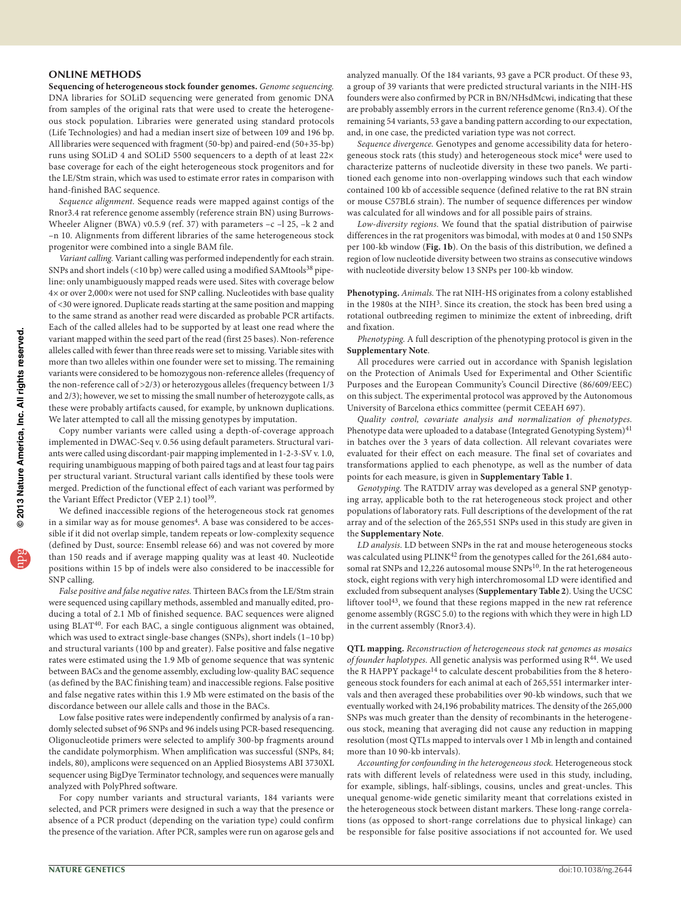## **ONLINE METHODS**

**Sequencing of heterogeneous stock founder genomes.** *Genome sequencing.* DNA libraries for SOLiD sequencing were generated from genomic DNA from samples of the original rats that were used to create the heterogeneous stock population. Libraries were generated using standard protocols (Life Technologies) and had a median insert size of between 109 and 196 bp. All libraries were sequenced with fragment (50-bp) and paired-end (50+35-bp) runs using SOLiD 4 and SOLiD 5500 sequencers to a depth of at least 22× base coverage for each of the eight heterogeneous stock progenitors and for the LE/Stm strain, which was used to estimate error rates in comparison with hand-finished BAC sequence.

*Sequence alignment.* Sequence reads were mapped against contigs of the Rnor3.4 rat reference genome assembly (reference strain BN) using Burrows-Wheeler Aligner (BWA) v0.5.9 (ref. [37\)](#page-11-0) with parameters -c -l 25, -k 2 and –n 10. Alignments from different libraries of the same heterogeneous stock progenitor were combined into a single BAM file.

*Variant calling.* Variant calling was performed independently for each strain. SNPs and short indels (<10 bp) were called using a modified SAMtools<sup>[38](#page-11-1)</sup> pipeline: only unambiguously mapped reads were used. Sites with coverage below 4× or over 2,000× were not used for SNP calling. Nucleotides with base quality of <30 were ignored. Duplicate reads starting at the same position and mapping to the same strand as another read were discarded as probable PCR artifacts. Each of the called alleles had to be supported by at least one read where the variant mapped within the seed part of the read (first 25 bases). Non-reference alleles called with fewer than three reads were set to missing. Variable sites with more than two alleles within one founder were set to missing. The remaining variants were considered to be homozygous non-reference alleles (frequency of the non-reference call of >2/3) or heterozygous alleles (frequency between 1/3 and 2/3); however, we set to missing the small number of heterozygote calls, as these were probably artifacts caused, for example, by unknown duplications. We later attempted to call all the missing genotypes by imputation.

Copy number variants were called using a depth-of-coverage approach implemented in DWAC-Seq v. 0.56 using default parameters. Structural variants were called using discordant-pair mapping implemented in 1-2-3-SV v. 1.0, requiring unambiguous mapping of both paired tags and at least four tag pairs per structural variant. Structural variant calls identified by these tools were merged. Prediction of the functional effect of each variant was performed by the Variant Effect Predictor (VEP 2.1) tool<sup>39</sup>.

We defined inaccessible regions of the heterogeneous stock rat genomes in a similar way as for mouse genomes<sup>4</sup>. A base was considered to be accessible if it did not overlap simple, tandem repeats or low-complexity sequence (defined by Dust, source: Ensembl release 66) and was not covered by more than 150 reads and if average mapping quality was at least 40. Nucleotide positions within 15 bp of indels were also considered to be inaccessible for SNP calling.

*False positive and false negative rates.* Thirteen BACs from the LE/Stm strain were sequenced using capillary methods, assembled and manually edited, producing a total of 2.1 Mb of finished sequence. BAC sequences were aligned using BLAT<sup>[40](#page-11-3)</sup>. For each BAC, a single contiguous alignment was obtained, which was used to extract single-base changes (SNPs), short indels (1–10 bp) and structural variants (100 bp and greater). False positive and false negative rates were estimated using the 1.9 Mb of genome sequence that was syntenic between BACs and the genome assembly, excluding low-quality BAC sequence (as defined by the BAC finishing team) and inaccessible regions. False positive and false negative rates within this 1.9 Mb were estimated on the basis of the discordance between our allele calls and those in the BACs.

Low false positive rates were independently confirmed by analysis of a randomly selected subset of 96 SNPs and 96 indels using PCR-based resequencing. Oligonucleotide primers were selected to amplify 300-bp fragments around the candidate polymorphism. When amplification was successful (SNPs, 84; indels, 80), amplicons were sequenced on an Applied Biosystems ABI 3730XL sequencer using BigDye Terminator technology, and sequences were manually analyzed with PolyPhred software.

For copy number variants and structural variants, 184 variants were selected, and PCR primers were designed in such a way that the presence or absence of a PCR product (depending on the variation type) could confirm the presence of the variation. After PCR, samples were run on agarose gels and analyzed manually. Of the 184 variants, 93 gave a PCR product. Of these 93, a group of 39 variants that were predicted structural variants in the NIH-HS founders were also confirmed by PCR in BN/NHsdMcwi, indicating that these are probably assembly errors in the current reference genome (Rn3.4). Of the remaining 54 variants, 53 gave a banding pattern according to our expectation, and, in one case, the predicted variation type was not correct.

*Sequence divergence.* Genotypes and genome accessibility data for heterogeneous stock rats (this study) and heterogeneous stock mice<sup>4</sup> were used to characterize patterns of nucleotide diversity in these two panels. We partitioned each genome into non-overlapping windows such that each window contained 100 kb of accessible sequence (defined relative to the rat BN strain or mouse C57BL6 strain). The number of sequence differences per window was calculated for all windows and for all possible pairs of strains.

*Low-diversity regions.* We found that the spatial distribution of pairwise differences in the rat progenitors was bimodal, with modes at 0 and 150 SNPs per 100-kb window (**[Fig. 1b](#page-2-0)**). On the basis of this distribution, we defined a region of low nucleotide diversity between two strains as consecutive windows with nucleotide diversity below 13 SNPs per 100-kb window.

**Phenotyping.** *Animals.* The rat NIH-HS originates from a colony established in the 1980s at the NIH<sup>3</sup>. Since its creation, the stock has been bred using a rotational outbreeding regimen to minimize the extent of inbreeding, drift and fixation.

*Phenotyping.* A full description of the phenotyping protocol is given in the **Supplementary Note**.

All procedures were carried out in accordance with Spanish legislation on the Protection of Animals Used for Experimental and Other Scientific Purposes and the European Community's Council Directive (86/609/EEC) on this subject. The experimental protocol was approved by the Autonomous University of Barcelona ethics committee (permit CEEAH 697).

*Quality control, covariate analysis and normalization of phenotypes.* Phenotype data were uploaded to a database (Integrated Genotyping System)<sup>[41](#page-11-4)</sup> in batches over the 3 years of data collection. All relevant covariates were evaluated for their effect on each measure. The final set of covariates and transformations applied to each phenotype, as well as the number of data points for each measure, is given in **Supplementary Table 1**.

*Genotyping.* The RATDIV array was developed as a general SNP genotyping array, applicable both to the rat heterogeneous stock project and other populations of laboratory rats. Full descriptions of the development of the rat array and of the selection of the 265,551 SNPs used in this study are given in the **Supplementary Note**.

*LD analysis.* LD between SNPs in the rat and mouse heterogeneous stocks was calculated using PLINK<sup>42</sup> from the genotypes called for the 261,684 auto-somal rat SNPs and 12,226 autosomal mouse SNPs<sup>[10](#page-8-5)</sup>. In the rat heterogeneous stock, eight regions with very high interchromosomal LD were identified and excluded from subsequent analyses (**Supplementary Table 2**). Using the UCSC liftover tool<sup>[43](#page-11-6)</sup>, we found that these regions mapped in the new rat reference genome assembly (RGSC 5.0) to the regions with which they were in high LD in the current assembly (Rnor3.4).

**QTL mapping.** *Reconstruction of heterogeneous stock rat genomes as mosaics of founder haplotypes.* All genetic analysis was performed using R[44](#page-11-7). We used the R HAPPY package<sup>14</sup> to calculate descent probabilities from the 8 heterogeneous stock founders for each animal at each of 265,551 intermarker intervals and then averaged these probabilities over 90-kb windows, such that we eventually worked with 24,196 probability matrices. The density of the 265,000 SNPs was much greater than the density of recombinants in the heterogeneous stock, meaning that averaging did not cause any reduction in mapping resolution (most QTLs mapped to intervals over 1 Mb in length and contained more than 10 90-kb intervals).

*Accounting for confounding in the heterogeneous stock.* Heterogeneous stock rats with different levels of relatedness were used in this study, including, for example, siblings, half-siblings, cousins, uncles and great-uncles. This unequal genome-wide genetic similarity meant that correlations existed in the heterogeneous stock between distant markers. These long-range correlations (as opposed to short-range correlations due to physical linkage) can be responsible for false positive associations if not accounted for. We used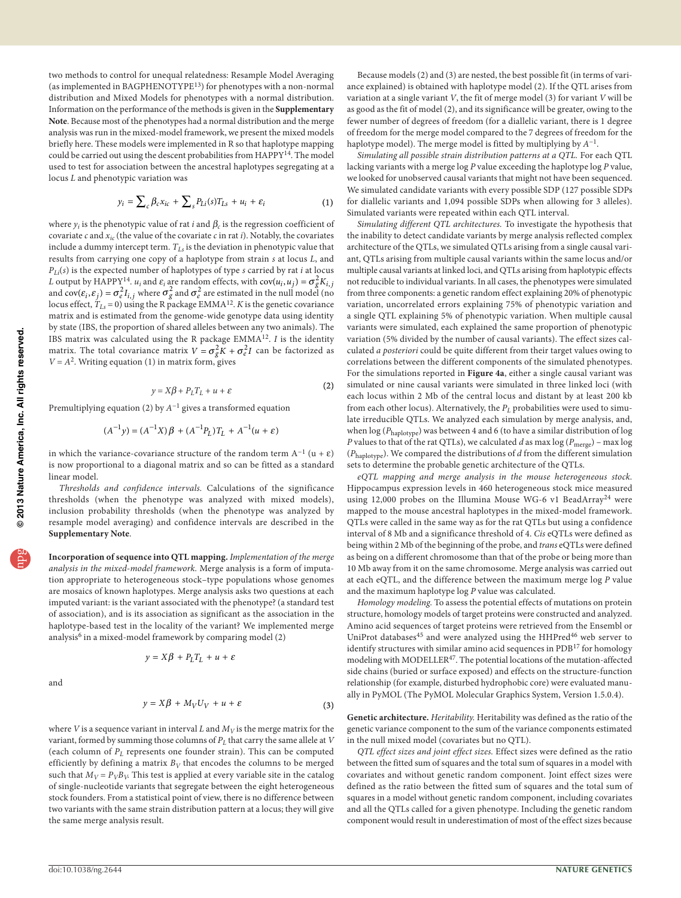two methods to control for unequal relatedness: Resample Model Averaging (as implemented in BAGPHENOTYPE[13](#page-8-8)) for phenotypes with a non-normal distribution and Mixed Models for phenotypes with a normal distribution. Information on the performance of the methods is given in the **Supplementary Note**. Because most of the phenotypes had a normal distribution and the merge analysis was run in the mixed-model framework, we present the mixed models briefly here. These models were implemented in R so that haplotype mapping could be carried out using the descent probabilities from HAPPY[14.](#page-8-9) The model used to test for association between the ancestral haplotypes segregating at a locus *L* and phenotypic variation was

$$
y_i = \sum_c \beta_c x_{ic} + \sum_s P_{Li}(s) T_{Ls} + u_i + \varepsilon_i \tag{1}
$$

where  $y_i$  is the phenotypic value of rat *i* and  $\beta_c$  is the regression coefficient of covariate *c* and *xic* (the value of the covariate *c* in rat *i*). Notably, the covariates include a dummy intercept term. *TLs* is the deviation in phenotypic value that results from carrying one copy of a haplotype from strain *s* at locus *L*, and  $P_{Li}(s)$  is the expected number of haplotypes of type *s* carried by rat *i* at locus *L* output by HAPPY<sup>[14](#page-8-9)</sup>. *u<sub>i</sub>* and  $\varepsilon_i$  are random effects, with  $cov(u_i, u_j) = \sigma_g^2 K_{i,j}$ and  $cov(\varepsilon_i, \varepsilon_j) = \sigma_e^2 I_{i,j}$  where  $\sigma_g^2$  and  $\sigma_e^2$  are estimated in the null model (no locus effect,  $T_{Ls} = 0$ ) using the R package EMMA<sup>[12](#page-8-7)</sup>. *K* is the genetic covariance matrix and is estimated from the genome-wide genotype data using identity by state (IBS, the proportion of shared alleles between any two animals). The IBS matrix was calculated using the R package EMMA[12](#page-8-7). *I* is the identity matrix. The total covariance matrix  $V = \sigma_g^2 K + \sigma_e^2 I$  can be factorized as  $V = A<sup>2</sup>$ . Writing equation (1) in matrix form, gives

$$
y = X\beta + P_L T_L + u + \varepsilon \tag{2}
$$

Premultiplying equation (2) by *A*−1 gives a transformed equation

$$
(A^{-1}y) = (A^{-1}X)\beta + (A^{-1}P_L)T_L + A^{-1}(u + \varepsilon)
$$

in which the variance-covariance structure of the random term  $A^{-1}$  (u +  $\varepsilon$ ) is now proportional to a diagonal matrix and so can be fitted as a standard linear model.

*Thresholds and confidence intervals.* Calculations of the significance thresholds (when the phenotype was analyzed with mixed models), inclusion probability thresholds (when the phenotype was analyzed by resample model averaging) and confidence intervals are described in the **Supplementary Note**.

**Incorporation of sequence into QTL mapping.** *Implementation of the merge analysis in the mixed-model framework.* Merge analysis is a form of imputation appropriate to heterogeneous stock–type populations whose genomes are mosaics of known haplotypes. Merge analysis asks two questions at each imputed variant: is the variant associated with the phenotype? (a standard test of association), and is its association as significant as the association in the haplotype-based test in the locality of the variant? We implemented merge analysis<sup>[6](#page-8-1)</sup> in a mixed-model framework by comparing model (2)

$$
y = X\beta + P_L T_L + u + \varepsilon
$$

and

$$
f_{\rm{max}}
$$

$$
y = X\beta + M_V U_V + u + \varepsilon \tag{3}
$$

where *V* is a sequence variant in interval *L* and  $M_V$  is the merge matrix for the variant, formed by summing those columns of  $P_L$  that carry the same allele at  $V$ (each column of *PL* represents one founder strain). This can be computed efficiently by defining a matrix  $B_V$  that encodes the columns to be merged such that  $M_V = P_V B_V$ . This test is applied at every variable site in the catalog of single-nucleotide variants that segregate between the eight heterogeneous stock founders. From a statistical point of view, there is no difference between two variants with the same strain distribution pattern at a locus; they will give the same merge analysis result.

Because models (2) and (3) are nested, the best possible fit (in terms of variance explained) is obtained with haplotype model (2). If the QTL arises from variation at a single variant *V*, the fit of merge model (3) for variant *V* will be as good as the fit of model (2), and its significance will be greater, owing to the fewer number of degrees of freedom (for a diallelic variant, there is 1 degree of freedom for the merge model compared to the 7 degrees of freedom for the haplotype model). The merge model is fitted by multiplying by *A*−1.

*Simulating all possible strain distribution patterns at a QTL.* For each QTL lacking variants with a merge log *P* value exceeding the haplotype log *P* value, we looked for unobserved causal variants that might not have been sequenced. We simulated candidate variants with every possible SDP (127 possible SDPs for diallelic variants and 1,094 possible SDPs when allowing for 3 alleles). Simulated variants were repeated within each QTL interval.

*Simulating different QTL architectures.* To investigate the hypothesis that the inability to detect candidate variants by merge analysis reflected complex architecture of the QTLs, we simulated QTLs arising from a single causal variant, QTLs arising from multiple causal variants within the same locus and/or multiple causal variants at linked loci, and QTLs arising from haplotypic effects not reducible to individual variants. In all cases, the phenotypes were simulated from three components: a genetic random effect explaining 20% of phenotypic variation, uncorrelated errors explaining 75% of phenotypic variation and a single QTL explaining 5% of phenotypic variation. When multiple causal variants were simulated, each explained the same proportion of phenotypic variation (5% divided by the number of causal variants). The effect sizes calculated *a posteriori* could be quite different from their target values owing to correlations between the different components of the simulated phenotypes. For the simulations reported in **[Figure 4a](#page-6-0)**, either a single causal variant was simulated or nine causal variants were simulated in three linked loci (with each locus within 2 Mb of the central locus and distant by at least 200 kb from each other locus). Alternatively, the  $P_L$  probabilities were used to simulate irreducible QTLs. We analyzed each simulation by merge analysis, and, when log (*P*haplotype) was between 4 and 6 (to have a similar distribution of log *P* values to that of the rat QTLs), we calculated *d* as max log (*P*merge) – max log (*P*haplotype). We compared the distributions of *d* from the different simulation sets to determine the probable genetic architecture of the QTLs.

*eQTL mapping and merge analysis in the mouse heterogeneous stock.* Hippocampus expression levels in 460 heterogeneous stock mice measured using 12,000 probes on the Illumina Mouse WG-6 v1 BeadArray<sup>24</sup> were mapped to the mouse ancestral haplotypes in the mixed-model framework. QTLs were called in the same way as for the rat QTLs but using a confidence interval of 8 Mb and a significance threshold of 4. *Cis* eQTLs were defined as being within 2 Mb of the beginning of the probe, and *trans* eQTLs were defined as being on a different chromosome than that of the probe or being more than 10 Mb away from it on the same chromosome. Merge analysis was carried out at each eQTL, and the difference between the maximum merge log *P* value and the maximum haplotype log *P* value was calculated.

*Homology modeling.* To assess the potential effects of mutations on protein structure, homology models of target proteins were constructed and analyzed. Amino acid sequences of target proteins were retrieved from the Ensembl or UniProt databases<sup>[45](#page-11-8)</sup> and were analyzed using the HHPred<sup>46</sup> web server to identify structures with similar amino acid sequences in PDB<sup>[17](#page-8-13)</sup> for homology modeling with MODELLER<sup>[47](#page-11-10)</sup>. The potential locations of the mutation-affected side chains (buried or surface exposed) and effects on the structure-function relationship (for example, disturbed hydrophobic core) were evaluated manually in PyMOL (The PyMOL Molecular Graphics System, Version 1.5.0.4).

**Genetic architecture.** *Heritability.* Heritability was defined as the ratio of the genetic variance component to the sum of the variance components estimated in the null mixed model (covariates but no QTL).

*QTL effect sizes and joint effect sizes.* Effect sizes were defined as the ratio between the fitted sum of squares and the total sum of squares in a model with covariates and without genetic random component. Joint effect sizes were defined as the ratio between the fitted sum of squares and the total sum of squares in a model without genetic random component, including covariates and all the QTLs called for a given phenotype. Including the genetic random component would result in underestimation of most of the effect sizes because